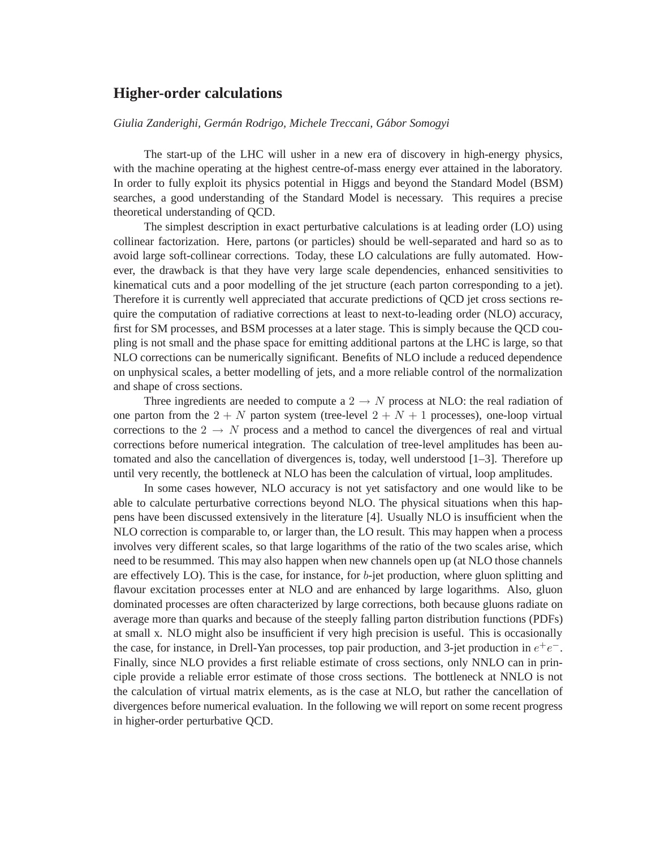# **Higher-order calculations**

## *Giulia Zanderighi, German Rodrigo, Michele Treccani, G ´ abor Somogyi ´*

The start-up of the LHC will usher in a new era of discovery in high-energy physics, with the machine operating at the highest centre-of-mass energy ever attained in the laboratory. In order to fully exploit its physics potential in Higgs and beyond the Standard Model (BSM) searches, a good understanding of the Standard Model is necessary. This requires a precise theoretical understanding of QCD.

The simplest description in exact perturbative calculations is at leading order (LO) using collinear factorization. Here, partons (or particles) should be well-separated and hard so as to avoid large soft-collinear corrections. Today, these LO calculations are fully automated. However, the drawback is that they have very large scale dependencies, enhanced sensitivities to kinematical cuts and a poor modelling of the jet structure (each parton corresponding to a jet). Therefore it is currently well appreciated that accurate predictions of QCD jet cross sections require the computation of radiative corrections at least to next-to-leading order (NLO) accuracy, first for SM processes, and BSM processes at a later stage. This is simply because the QCD coupling is not small and the phase space for emitting additional partons at the LHC is large, so that NLO corrections can be numerically significant. Benefits of NLO include a reduced dependence on unphysical scales, a better modelling of jets, and a more reliable control of the normalization and shape of cross sections.

Three ingredients are needed to compute a  $2 \rightarrow N$  process at NLO: the real radiation of one parton from the  $2 + N$  parton system (tree-level  $2 + N + 1$  processes), one-loop virtual corrections to the  $2 \rightarrow N$  process and a method to cancel the divergences of real and virtual corrections before numerical integration. The calculation of tree-level amplitudes has been automated and also the cancellation of divergences is, today, well understood [1–3]. Therefore up until very recently, the bottleneck at NLO has been the calculation of virtual, loop amplitudes.

In some cases however, NLO accuracy is not yet satisfactory and one would like to be able to calculate perturbative corrections beyond NLO. The physical situations when this happens have been discussed extensively in the literature [4]. Usually NLO is insufficient when the NLO correction is comparable to, or larger than, the LO result. This may happen when a process involves very different scales, so that large logarithms of the ratio of the two scales arise, which need to be resummed. This may also happen when new channels open up (at NLO those channels are effectively LO). This is the case, for instance, for  $b$ -jet production, where gluon splitting and flavour excitation processes enter at NLO and are enhanced by large logarithms. Also, gluon dominated processes are often characterized by large corrections, both because gluons radiate on average more than quarks and because of the steeply falling parton distribution functions (PDFs) at small x. NLO might also be insufficient if very high precision is useful. This is occasionally the case, for instance, in Drell-Yan processes, top pair production, and 3-jet production in  $e^+e^-$ . Finally, since NLO provides a first reliable estimate of cross sections, only NNLO can in principle provide a reliable error estimate of those cross sections. The bottleneck at NNLO is not the calculation of virtual matrix elements, as is the case at NLO, but rather the cancellation of divergences before numerical evaluation. In the following we will report on some recent progress in higher-order perturbative QCD.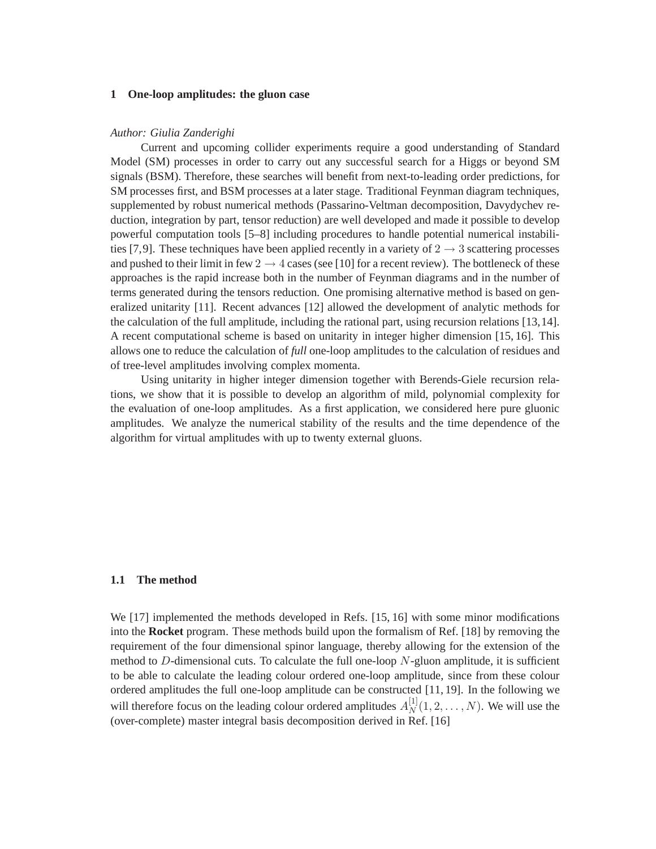## **1 One-loop amplitudes: the gluon case**

#### *Author: Giulia Zanderighi*

Current and upcoming collider experiments require a good understanding of Standard Model (SM) processes in order to carry out any successful search for a Higgs or beyond SM signals (BSM). Therefore, these searches will benefit from next-to-leading order predictions, for SM processes first, and BSM processes at a later stage. Traditional Feynman diagram techniques, supplemented by robust numerical methods (Passarino-Veltman decomposition, Davydychev reduction, integration by part, tensor reduction) are well developed and made it possible to develop powerful computation tools [5–8] including procedures to handle potential numerical instabilities [7,9]. These techniques have been applied recently in a variety of  $2 \rightarrow 3$  scattering processes and pushed to their limit in few  $2 \rightarrow 4$  cases (see [10] for a recent review). The bottleneck of these approaches is the rapid increase both in the number of Feynman diagrams and in the number of terms generated during the tensors reduction. One promising alternative method is based on generalized unitarity [11]. Recent advances [12] allowed the development of analytic methods for the calculation of the full amplitude, including the rational part, using recursion relations [13,14]. A recent computational scheme is based on unitarity in integer higher dimension [15, 16]. This allows one to reduce the calculation of *full* one-loop amplitudes to the calculation of residues and of tree-level amplitudes involving complex momenta.

Using unitarity in higher integer dimension together with Berends-Giele recursion relations, we show that it is possible to develop an algorithm of mild, polynomial complexity for the evaluation of one-loop amplitudes. As a first application, we considered here pure gluonic amplitudes. We analyze the numerical stability of the results and the time dependence of the algorithm for virtual amplitudes with up to twenty external gluons.

#### **1.1 The method**

We [17] implemented the methods developed in Refs. [15, 16] with some minor modifications into the **Rocket** program. These methods build upon the formalism of Ref. [18] by removing the requirement of the four dimensional spinor language, thereby allowing for the extension of the method to  $D$ -dimensional cuts. To calculate the full one-loop  $N$ -gluon amplitude, it is sufficient to be able to calculate the leading colour ordered one-loop amplitude, since from these colour ordered amplitudes the full one-loop amplitude can be constructed [11, 19]. In the following we will therefore focus on the leading colour ordered amplitudes  $A_N^{[1]}$  $N^{[1]}(1, 2, \ldots, N)$ . We will use the (over-complete) master integral basis decomposition derived in Ref. [16]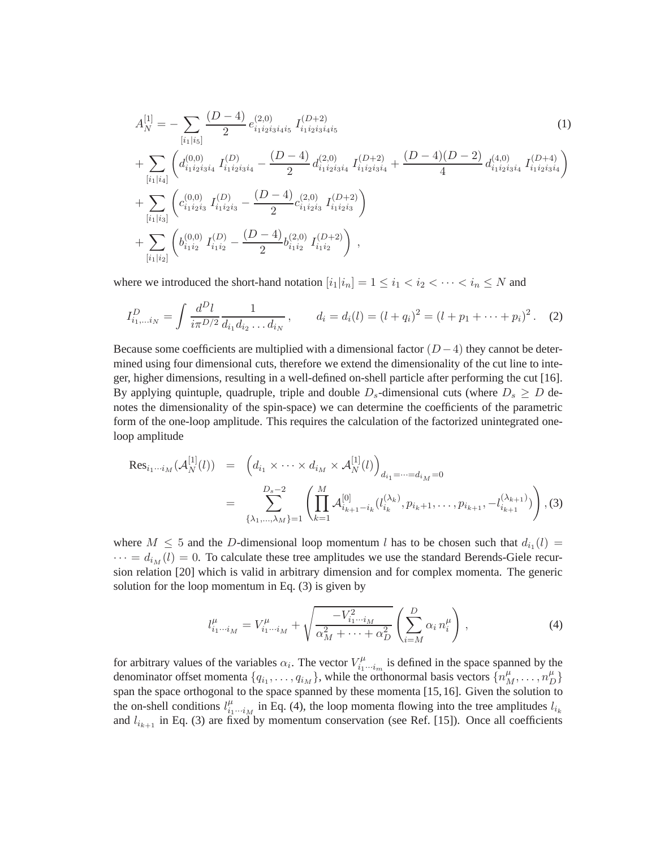$$
A_N^{[1]} = -\sum_{[i_1|i_5]} \frac{(D-4)}{2} e_{i_1 i_2 i_3 i_4 i_5}^{(2,0)} I_{i_1 i_2 i_3 i_4 i_5}^{(D+2)} \tag{1}
$$
  
+ 
$$
\sum_{[i_1|i_4]} \left( d_{i_1 i_2 i_3 i_4}^{(0,0)} I_{i_1 i_2 i_3 i_4}^{(D)} - \frac{(D-4)}{2} d_{i_1 i_2 i_3 i_4}^{(2,0)} I_{i_1 i_2 i_3 i_4}^{(D+2)} + \frac{(D-4)(D-2)}{4} d_{i_1 i_2 i_3 i_4}^{(4,0)} I_{i_1 i_2 i_3 i_4}^{(D+4)} \right)
$$
  
+ 
$$
\sum_{[i_1|i_3]} \left( c_{i_1 i_2 i_3}^{(0,0)} I_{i_1 i_2 i_3}^{(D)} - \frac{(D-4)}{2} c_{i_1 i_2 i_3}^{(2,0)} I_{i_1 i_2 i_3}^{(D+2)} \right)
$$
  
+ 
$$
\sum_{[i_1|i_2]} \left( b_{i_1 i_2}^{(0,0)} I_{i_1 i_2}^{(D)} - \frac{(D-4)}{2} b_{i_1 i_2}^{(2,0)} I_{i_1 i_2}^{(D+2)} \right),
$$
 (1)

where we introduced the short-hand notation  $[i_1|i_n] = 1 \le i_1 < i_2 < \cdots < i_n \le N$  and

$$
I_{i_1,\dots i_N}^D = \int \frac{d^D l}{i\pi^{D/2}} \frac{1}{d_{i_1} d_{i_2} \dots d_{i_N}}, \qquad d_i = d_i(l) = (l + q_i)^2 = (l + p_1 + \dots + p_i)^2. \tag{2}
$$

Because some coefficients are multiplied with a dimensional factor  $(D-4)$  they cannot be determined using four dimensional cuts, therefore we extend the dimensionality of the cut line to integer, higher dimensions, resulting in a well-defined on-shell particle after performing the cut [16]. By applying quintuple, quadruple, triple and double  $D_s$ -dimensional cuts (where  $D_s \geq D$  denotes the dimensionality of the spin-space) we can determine the coefficients of the parametric form of the one-loop amplitude. This requires the calculation of the factorized unintegrated oneloop amplitude

$$
\text{Res}_{i_1\cdots i_M}(\mathcal{A}_N^{[1]}(l)) = \left(d_{i_1}\times\cdots\times d_{i_M}\times \mathcal{A}_N^{[1]}(l)\right)_{d_{i_1}=\cdots=d_{i_M}=0}
$$
\n
$$
= \sum_{\{\lambda_1,\ldots,\lambda_M\}=1}^{D_s-2} \left(\prod_{k=1}^M \mathcal{A}_{i_{k+1}-i_k}^{[0]}(l_{i_k}^{(\lambda_k)},p_{i_k+1},\ldots,p_{i_{k+1}},-l_{i_{k+1}}^{(\lambda_{k+1})})\right), (3)
$$

where  $M \leq 5$  and the D-dimensional loop momentum l has to be chosen such that  $d_{i_1}(l) =$  $\cdots = d_{i_M}(l) = 0$ . To calculate these tree amplitudes we use the standard Berends-Giele recursion relation [20] which is valid in arbitrary dimension and for complex momenta. The generic solution for the loop momentum in Eq. (3) is given by

$$
l_{i_1\cdots i_M}^{\mu} = V_{i_1\cdots i_M}^{\mu} + \sqrt{\frac{-V_{i_1\cdots i_M}^2}{\alpha_M^2 + \cdots + \alpha_D^2}} \left(\sum_{i=M}^D \alpha_i n_i^{\mu}\right), \tag{4}
$$

for arbitrary values of the variables  $\alpha_i$ . The vector  $V_{i_1}^{\mu}$  $\tilde{u}_i^{\mu} \dots \tilde{u}_m$  is defined in the space spanned by the denominator offset momenta  $\{q_{i_1},\ldots,q_{i_M}\}\$ , while the orthonormal basis vectors  $\{n_M^{\mu},\ldots,n_D^{\mu}\}\$ span the space orthogonal to the space spanned by these momenta [15,16]. Given the solution to the on-shell conditions  $l_{i,j}^{\mu}$  $i_1^{(\mu)}$  in Eq. (4), the loop momenta flowing into the tree amplitudes  $l_{i_k}$ and  $l_{i_{k+1}}$  in Eq. (3) are fixed by momentum conservation (see Ref. [15]). Once all coefficients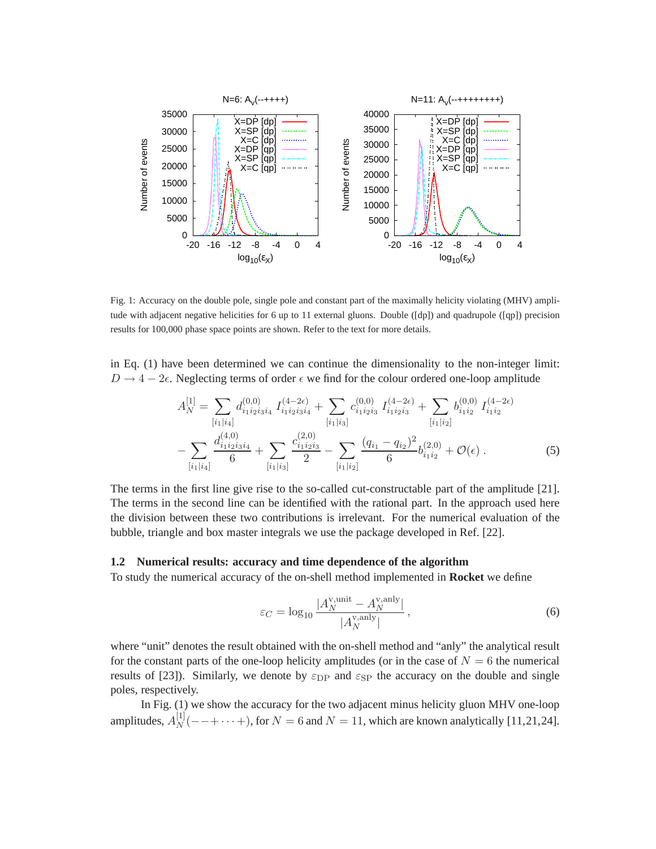

Fig. 1: Accuracy on the double pole, single pole and constant part of the maximally helicity violating (MHV) amplitude with adjacent negative helicities for 6 up to 11 external gluons. Double ([dp]) and quadrupole ([qp]) precision results for 100,000 phase space points are shown. Refer to the text for more details.

in Eq. (1) have been determined we can continue the dimensionality to the non-integer limit:  $D \rightarrow 4-2\epsilon$ . Neglecting terms of order  $\epsilon$  we find for the colour ordered one-loop amplitude

$$
A_N^{[1]} = \sum_{[i_1|i_4]} d_{i_1i_2i_3i_4}^{(0,0)} I_{i_1i_2i_3i_4}^{(4-2\epsilon)} + \sum_{[i_1|i_3]} c_{i_1i_2i_3}^{(0,0)} I_{i_1i_2i_3}^{(4-2\epsilon)} + \sum_{[i_1|i_2]} b_{i_1i_2}^{(0,0)} I_{i_1i_2}^{(4-2\epsilon)} - \sum_{[i_1|i_4]} \frac{d_{i_1i_2i_3i_4}^{(4,0)}}{6} + \sum_{[i_1|i_3]} \frac{c_{i_1i_2i_3}^{(2,0)}}{2} - \sum_{[i_1|i_2]} \frac{(q_{i_1} - q_{i_2})^2}{6} b_{i_1i_2}^{(2,0)} + \mathcal{O}(\epsilon) .
$$
 (5)

The terms in the first line give rise to the so-called cut-constructable part of the amplitude [21]. The terms in the second line can be identified with the rational part. In the approach used here the division between these two contributions is irrelevant. For the numerical evaluation of the bubble, triangle and box master integrals we use the package developed in Ref. [22].

#### **1.2 Numerical results: accuracy and time dependence of the algorithm**

To study the numerical accuracy of the on-shell method implemented in **Rocket** we define

$$
\varepsilon_C = \log_{10} \frac{|A_N^{\text{v,unit}} - A_N^{\text{v,any}}|}{|A_N^{\text{v,any}}|},\tag{6}
$$

where "unit" denotes the result obtained with the on-shell method and "anly" the analytical result for the constant parts of the one-loop helicity amplitudes (or in the case of  $N = 6$  the numerical results of [23]). Similarly, we denote by  $\varepsilon_{\rm DP}$  and  $\varepsilon_{\rm SP}$  the accuracy on the double and single poles, respectively.

In Fig. (1) we show the accuracy for the two adjacent minus helicity gluon MHV one-loop amplitudes,  $A_N^{[1]}$  $N^{[1]}(-$  - + · · · +), for  $N = 6$  and  $N = 11$ , which are known analytically [11,21,24].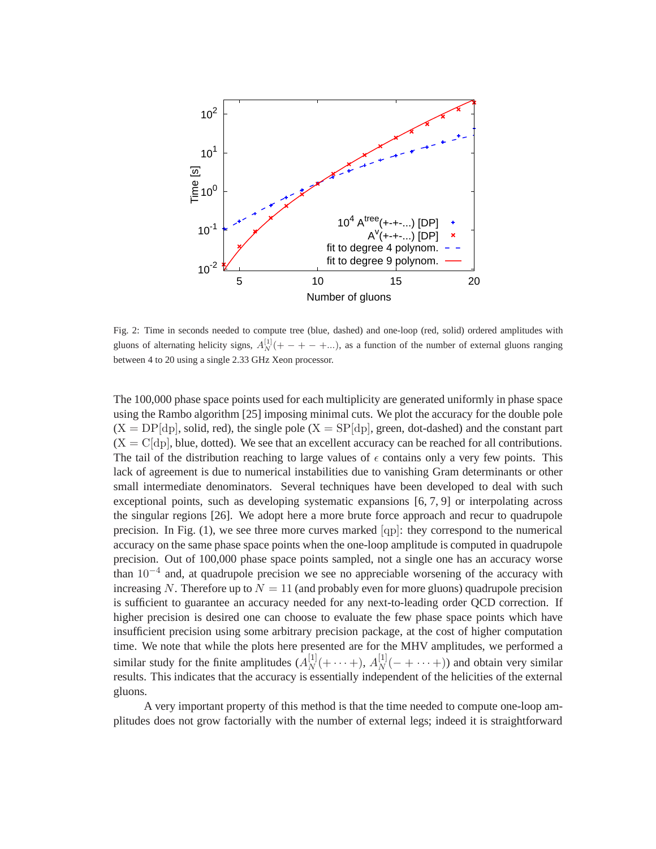

Fig. 2: Time in seconds needed to compute tree (blue, dashed) and one-loop (red, solid) ordered amplitudes with gluons of alternating helicity signs,  $A_N^{[1]}(+-+ - + ...)$ , as a function of the number of external gluons ranging between 4 to 20 using a single 2.33 GHz Xeon processor.

The 100,000 phase space points used for each multiplicity are generated uniformly in phase space using the Rambo algorithm [25] imposing minimal cuts. We plot the accuracy for the double pole  $(X = DP[dp]$ , solid, red), the single pole  $(X = SP[dp]$ , green, dot-dashed) and the constant part  $(X = C[dp],$  blue, dotted). We see that an excellent accuracy can be reached for all contributions. The tail of the distribution reaching to large values of  $\epsilon$  contains only a very few points. This lack of agreement is due to numerical instabilities due to vanishing Gram determinants or other small intermediate denominators. Several techniques have been developed to deal with such exceptional points, such as developing systematic expansions [6, 7, 9] or interpolating across the singular regions [26]. We adopt here a more brute force approach and recur to quadrupole precision. In Fig.  $(1)$ , we see three more curves marked  $[qp]$ : they correspond to the numerical accuracy on the same phase space points when the one-loop amplitude is computed in quadrupole precision. Out of 100,000 phase space points sampled, not a single one has an accuracy worse than  $10^{-4}$  and, at quadrupole precision we see no appreciable worsening of the accuracy with increasing N. Therefore up to  $N = 11$  (and probably even for more gluons) quadrupole precision is sufficient to guarantee an accuracy needed for any next-to-leading order QCD correction. If higher precision is desired one can choose to evaluate the few phase space points which have insufficient precision using some arbitrary precision package, at the cost of higher computation time. We note that while the plots here presented are for the MHV amplitudes, we performed a similar study for the finite amplitudes  $(A_N^{[1]})$  $N^{[1]}(+ \cdots +), A_N^{[1]}$  $N^{[1]}(- + \cdots +))$  and obtain very similar results. This indicates that the accuracy is essentially independent of the helicities of the external gluons.

A very important property of this method is that the time needed to compute one-loop amplitudes does not grow factorially with the number of external legs; indeed it is straightforward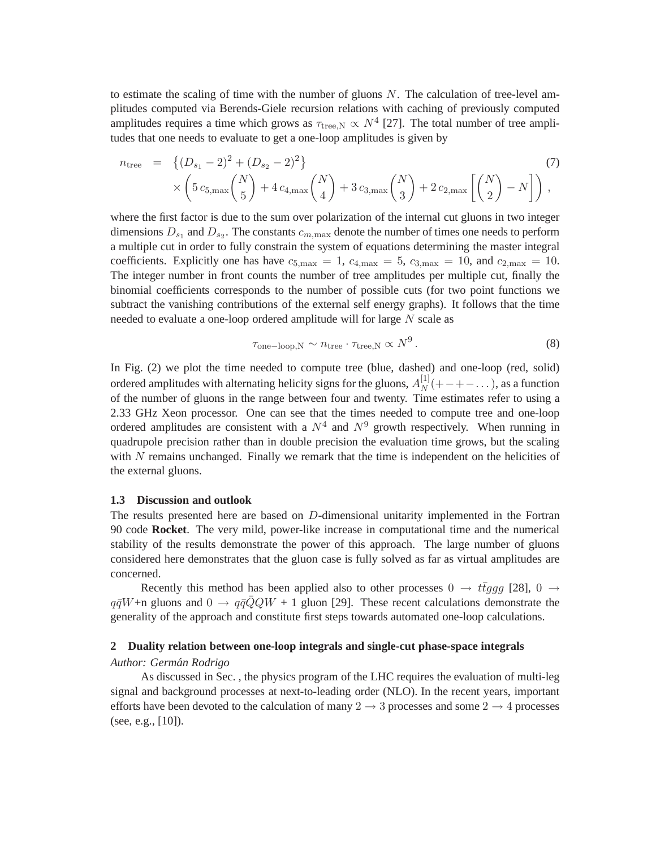to estimate the scaling of time with the number of gluons  $N$ . The calculation of tree-level amplitudes computed via Berends-Giele recursion relations with caching of previously computed amplitudes requires a time which grows as  $\tau_{\text{tree,N}} \propto N^4$  [27]. The total number of tree amplitudes that one needs to evaluate to get a one-loop amplitudes is given by

$$
n_{\text{tree}} = \left\{ (D_{s_1} - 2)^2 + (D_{s_2} - 2)^2 \right\} \times \left( 5 c_{5,\text{max}} {N \choose 5} + 4 c_{4,\text{max}} {N \choose 4} + 3 c_{3,\text{max}} {N \choose 3} + 2 c_{2,\text{max}} \left[ {N \choose 2} - N \right] \right),
$$
\n(7)

where the first factor is due to the sum over polarization of the internal cut gluons in two integer dimensions  $D_{s_1}$  and  $D_{s_2}$ . The constants  $c_{m,\max}$  denote the number of times one needs to perform a multiple cut in order to fully constrain the system of equations determining the master integral coefficients. Explicitly one has have  $c_{5,\text{max}} = 1$ ,  $c_{4,\text{max}} = 5$ ,  $c_{3,\text{max}} = 10$ , and  $c_{2,\text{max}} = 10$ . The integer number in front counts the number of tree amplitudes per multiple cut, finally the binomial coefficients corresponds to the number of possible cuts (for two point functions we subtract the vanishing contributions of the external self energy graphs). It follows that the time needed to evaluate a one-loop ordered amplitude will for large N scale as

$$
\tau_{\text{one-loop,N}} \sim n_{\text{tree}} \cdot \tau_{\text{tree,N}} \propto N^9. \tag{8}
$$

In Fig. (2) we plot the time needed to compute tree (blue, dashed) and one-loop (red, solid) ordered amplitudes with alternating helicity signs for the gluons,  $A_N^{[1]}$  $N^{[1]}$  $(+-+--...)$ , as a function of the number of gluons in the range between four and twenty. Time estimates refer to using a 2.33 GHz Xeon processor. One can see that the times needed to compute tree and one-loop ordered amplitudes are consistent with a  $N^4$  and  $N^9$  growth respectively. When running in quadrupole precision rather than in double precision the evaluation time grows, but the scaling with  $N$  remains unchanged. Finally we remark that the time is independent on the helicities of the external gluons.

#### **1.3 Discussion and outlook**

The results presented here are based on D-dimensional unitarity implemented in the Fortran 90 code **Rocket**. The very mild, power-like increase in computational time and the numerical stability of the results demonstrate the power of this approach. The large number of gluons considered here demonstrates that the gluon case is fully solved as far as virtual amplitudes are concerned.

Recently this method has been applied also to other processes  $0 \rightarrow t \bar{t} g g g$  [28],  $0 \rightarrow$  $q\bar{q}W$ +n gluons and  $0 \to q\bar{q}QQW$  + 1 gluon [29]. These recent calculations demonstrate the generality of the approach and constitute first steps towards automated one-loop calculations.

#### **2 Duality relation between one-loop integrals and single-cut phase-space integrals**

## *Author: German Rodrigo ´*

As discussed in Sec. , the physics program of the LHC requires the evaluation of multi-leg signal and background processes at next-to-leading order (NLO). In the recent years, important efforts have been devoted to the calculation of many  $2 \rightarrow 3$  processes and some  $2 \rightarrow 4$  processes (see, e.g.,  $[10]$ ).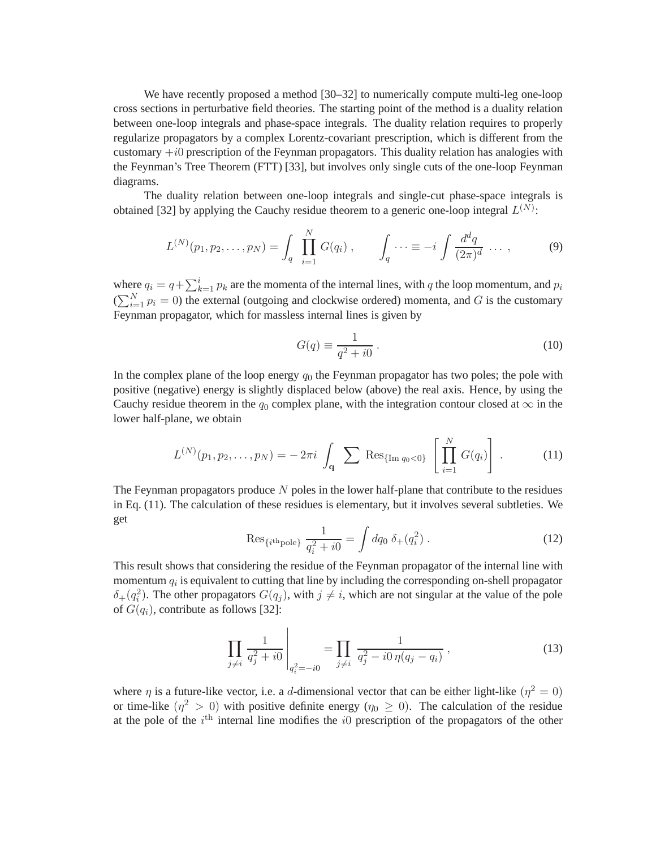We have recently proposed a method [30–32] to numerically compute multi-leg one-loop cross sections in perturbative field theories. The starting point of the method is a duality relation between one-loop integrals and phase-space integrals. The duality relation requires to properly regularize propagators by a complex Lorentz-covariant prescription, which is different from the customary  $+i0$  prescription of the Feynman propagators. This duality relation has analogies with the Feynman's Tree Theorem (FTT) [33], but involves only single cuts of the one-loop Feynman diagrams.

The duality relation between one-loop integrals and single-cut phase-space integrals is obtained [32] by applying the Cauchy residue theorem to a generic one-loop integral  $L^{(N)}$ :

$$
L^{(N)}(p_1, p_2, \dots, p_N) = \int_q \prod_{i=1}^N G(q_i) , \qquad \int_q \dots \equiv -i \int \frac{d^d q}{(2\pi)^d} \dots , \qquad (9)
$$

where  $q_i = q + \sum_{k=1}^{i} p_k$  are the momenta of the internal lines, with q the loop momentum, and  $p_i$  $(\sum_{i=1}^{N} p_i = 0)$  the external (outgoing and clockwise ordered) momenta, and G is the customary Feynman propagator, which for massless internal lines is given by

$$
G(q) \equiv \frac{1}{q^2 + i0} \,. \tag{10}
$$

In the complex plane of the loop energy  $q_0$  the Feynman propagator has two poles; the pole with positive (negative) energy is slightly displaced below (above) the real axis. Hence, by using the Cauchy residue theorem in the  $q_0$  complex plane, with the integration contour closed at  $\infty$  in the lower half-plane, we obtain

$$
L^{(N)}(p_1, p_2, \dots, p_N) = -2\pi i \int_{\mathbf{q}} \sum \text{Res}_{\{\text{Im } q_0 < 0\}} \left[ \prod_{i=1}^N G(q_i) \right]. \tag{11}
$$

The Feynman propagators produce  $N$  poles in the lower half-plane that contribute to the residues in Eq. (11). The calculation of these residues is elementary, but it involves several subtleties. We get

$$
\text{Res}_{\{i^{\text{th}}\text{pole}\}}\ \frac{1}{q_i^2 + i0} = \int dq_0 \ \delta_+(q_i^2) \ . \tag{12}
$$

This result shows that considering the residue of the Feynman propagator of the internal line with momentum  $q_i$  is equivalent to cutting that line by including the corresponding on-shell propagator  $\delta_{+}(q_i^2)$ . The other propagators  $G(q_j)$ , with  $j \neq i$ , which are not singular at the value of the pole of  $G(q_i)$ , contribute as follows [32]:

$$
\prod_{j \neq i} \frac{1}{q_j^2 + i0} \bigg|_{q_i^2 = -i0} = \prod_{j \neq i} \frac{1}{q_j^2 - i0 \eta (q_j - q_i)},
$$
\n(13)

where  $\eta$  is a future-like vector, i.e. a d-dimensional vector that can be either light-like  $(\eta^2 = 0)$ or time-like  $(\eta^2 > 0)$  with positive definite energy  $(\eta_0 \ge 0)$ . The calculation of the residue at the pole of the  $i<sup>th</sup>$  internal line modifies the *i*0 prescription of the propagators of the other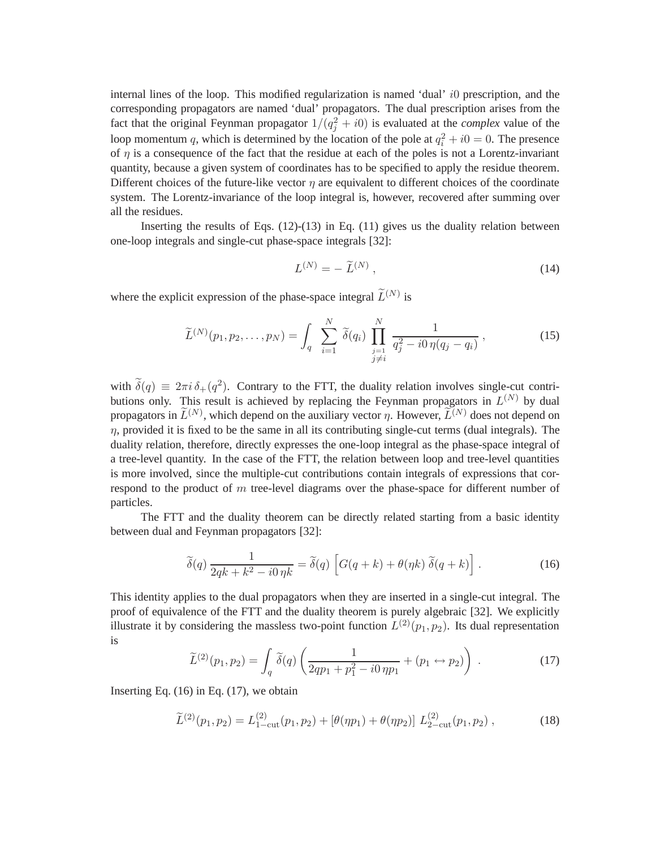internal lines of the loop. This modified regularization is named 'dual' i0 prescription, and the corresponding propagators are named 'dual' propagators. The dual prescription arises from the fact that the original Feynman propagator  $1/(q_j^2 + i0)$  is evaluated at the *complex* value of the loop momentum q, which is determined by the location of the pole at  $q_i^2 + i0 = 0$ . The presence of  $\eta$  is a consequence of the fact that the residue at each of the poles is not a Lorentz-invariant quantity, because a given system of coordinates has to be specified to apply the residue theorem. Different choices of the future-like vector  $\eta$  are equivalent to different choices of the coordinate system. The Lorentz-invariance of the loop integral is, however, recovered after summing over all the residues.

Inserting the results of Eqs.  $(12)-(13)$  in Eq.  $(11)$  gives us the duality relation between one-loop integrals and single-cut phase-space integrals [32]:

$$
L^{(N)} = -\widetilde{L}^{(N)}\,,\tag{14}
$$

where the explicit expression of the phase-space integral  $\tilde{L}^{(N)}$  is

$$
\widetilde{L}^{(N)}(p_1, p_2, \dots, p_N) = \int_q \sum_{i=1}^N \widetilde{\delta}(q_i) \prod_{\substack{j=1 \ j \neq i}}^N \frac{1}{q_j^2 - i0 \eta (q_j - q_i)}, \qquad (15)
$$

with  $\delta(q) \equiv 2\pi i \delta_+(q^2)$ . Contrary to the FTT, the duality relation involves single-cut contributions only. This result is achieved by replacing the Feynman propagators in  $L^{(N)}$  by dual propagators in  $\tilde{L}^{(N)}$ , which depend on the auxiliary vector  $\eta$ . However,  $\tilde{L}^{(N)}$  does not depend on  $\eta$ , provided it is fixed to be the same in all its contributing single-cut terms (dual integrals). The duality relation, therefore, directly expresses the one-loop integral as the phase-space integral of a tree-level quantity. In the case of the FTT, the relation between loop and tree-level quantities is more involved, since the multiple-cut contributions contain integrals of expressions that correspond to the product of  $m$  tree-level diagrams over the phase-space for different number of particles.

The FTT and the duality theorem can be directly related starting from a basic identity between dual and Feynman propagators [32]:

$$
\widetilde{\delta}(q) \frac{1}{2qk + k^2 - i0\,\eta k} = \widetilde{\delta}(q) \left[ G(q+k) + \theta(\eta k) \; \widetilde{\delta}(q+k) \right]. \tag{16}
$$

This identity applies to the dual propagators when they are inserted in a single-cut integral. The proof of equivalence of the FTT and the duality theorem is purely algebraic [32]. We explicitly illustrate it by considering the massless two-point function  $L^{(2)}(p_1, p_2)$ . Its dual representation is

$$
\widetilde{L}^{(2)}(p_1, p_2) = \int_q \widetilde{\delta}(q) \left( \frac{1}{2qp_1 + p_1^2 - i0\,\eta p_1} + (p_1 \leftrightarrow p_2) \right) \,. \tag{17}
$$

Inserting Eq.  $(16)$  in Eq.  $(17)$ , we obtain

$$
\widetilde{L}^{(2)}(p_1, p_2) = L_{1-\text{cut}}^{(2)}(p_1, p_2) + [\theta(\eta p_1) + \theta(\eta p_2)] L_{2-\text{cut}}^{(2)}(p_1, p_2), \qquad (18)
$$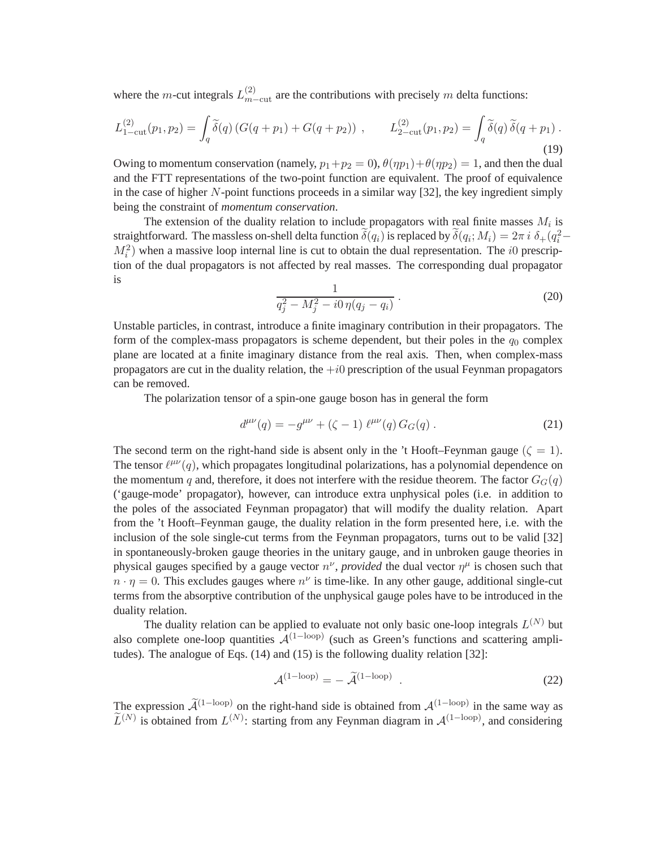where the m-cut integrals  $L_{m-cut}^{(2)}$  are the contributions with precisely m delta functions:

$$
L_{1-cut}^{(2)}(p_1, p_2) = \int_{q} \tilde{\delta}(q) \left( G(q + p_1) + G(q + p_2) \right) , \qquad L_{2-cut}^{(2)}(p_1, p_2) = \int_{q} \tilde{\delta}(q) \, \tilde{\delta}(q + p_1) .
$$
\n(19)

Owing to momentum conservation (namely,  $p_1+p_2 = 0$ ),  $\theta(\eta p_1)+\theta(\eta p_2) = 1$ , and then the dual and the FTT representations of the two-point function are equivalent. The proof of equivalence in the case of higher  $N$ -point functions proceeds in a similar way [32], the key ingredient simply being the constraint of *momentum conservation*.

The extension of the duality relation to include propagators with real finite masses  $M_i$  is straightforward. The massless on-shell delta function  $\delta(q_i)$  is replaced by  $\delta(q_i; M_i) = 2\pi i \delta_+(q_i^2 - q_i)$  $M_i^2$ ) when a massive loop internal line is cut to obtain the dual representation. The *i*0 prescription of the dual propagators is not affected by real masses. The corresponding dual propagator is

$$
\frac{1}{q_j^2 - M_j^2 - i0\,\eta(q_j - q_i)}\,. \tag{20}
$$

Unstable particles, in contrast, introduce a finite imaginary contribution in their propagators. The form of the complex-mass propagators is scheme dependent, but their poles in the  $q_0$  complex plane are located at a finite imaginary distance from the real axis. Then, when complex-mass propagators are cut in the duality relation, the  $+i0$  prescription of the usual Feynman propagators can be removed.

The polarization tensor of a spin-one gauge boson has in general the form

$$
d^{\mu\nu}(q) = -g^{\mu\nu} + (\zeta - 1) \ell^{\mu\nu}(q) G_G(q) . \qquad (21)
$$

The second term on the right-hand side is absent only in the 't Hooft–Feynman gauge ( $\zeta = 1$ ). The tensor  $\ell^{\mu\nu}(q)$ , which propagates longitudinal polarizations, has a polynomial dependence on the momentum q and, therefore, it does not interfere with the residue theorem. The factor  $G<sub>G</sub>(q)$ ('gauge-mode' propagator), however, can introduce extra unphysical poles (i.e. in addition to the poles of the associated Feynman propagator) that will modify the duality relation. Apart from the 't Hooft–Feynman gauge, the duality relation in the form presented here, i.e. with the inclusion of the sole single-cut terms from the Feynman propagators, turns out to be valid [32] in spontaneously-broken gauge theories in the unitary gauge, and in unbroken gauge theories in physical gauges specified by a gauge vector  $n^{\nu}$ , *provided* the dual vector  $\eta^{\mu}$  is chosen such that  $n \cdot \eta = 0$ . This excludes gauges where  $n^{\nu}$  is time-like. In any other gauge, additional single-cut terms from the absorptive contribution of the unphysical gauge poles have to be introduced in the duality relation.

The duality relation can be applied to evaluate not only basic one-loop integrals  $L^{(N)}$  but also complete one-loop quantities  $\mathcal{A}^{(1-loop)}$  (such as Green's functions and scattering amplitudes). The analogue of Eqs. (14) and (15) is the following duality relation [32]:

$$
\mathcal{A}^{(1-\text{loop})} = -\tilde{\mathcal{A}}^{(1-\text{loop})} . \tag{22}
$$

The expression  $\widetilde{\mathcal{A}}^{(1-\text{loop})}$  on the right-hand side is obtained from  $\mathcal{A}^{(1-\text{loop})}$  in the same way as  $\tilde{L}^{(N)}$  is obtained from  $L^{(N)}$ : starting from any Feynman diagram in  $\mathcal{A}^{(1-loop)}$ , and considering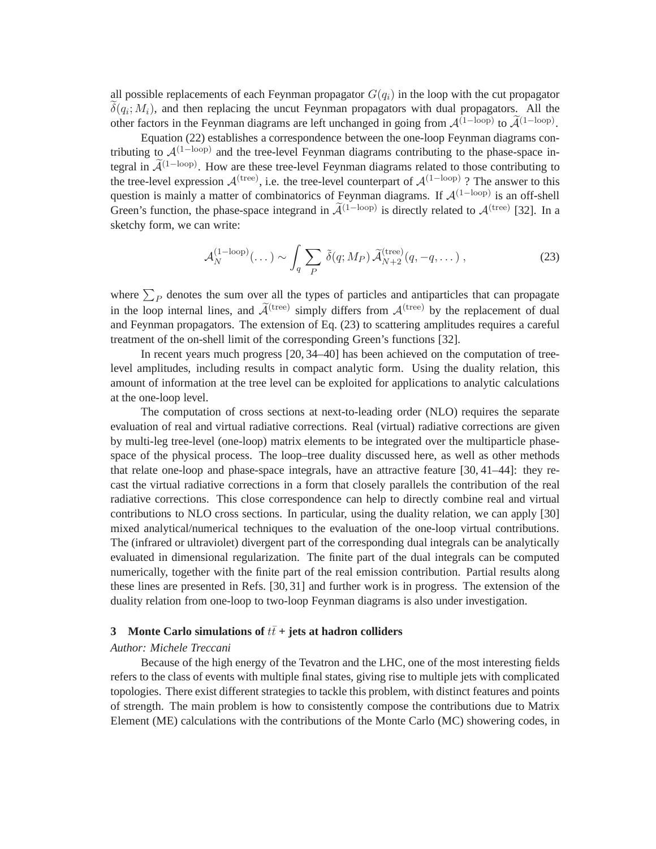all possible replacements of each Feynman propagator  $G(q_i)$  in the loop with the cut propagator  $\delta(q_i; M_i)$ , and then replacing the uncut Feynman propagators with dual propagators. All the other factors in the Feynman diagrams are left unchanged in going from  $\mathcal{A}^{(1-\text{loop})}$  to  $\widetilde{\mathcal{A}}^{(1-\text{loop})}$ .

Equation (22) establishes a correspondence between the one-loop Feynman diagrams contributing to  $\mathcal{A}^{(1-\text{loop})}$  and the tree-level Feynman diagrams contributing to the phase-space integral in  $\widetilde{\mathcal{A}}^{(1-\text{loop})}$ . How are these tree-level Feynman diagrams related to those contributing to the tree-level expression  $\mathcal{A}^{(\text{tree})}$ , i.e. the tree-level counterpart of  $\mathcal{A}^{(1-\text{loop})}$ ? The answer to this question is mainly a matter of combinatorics of Feynman diagrams. If  $\mathcal{A}^{(1-loop)}$  is an off-shell Green's function, the phase-space integrand in  $\widetilde{\mathcal{A}}^{(1-\text{loop})}$  is directly related to  $\mathcal{A}^{(\text{tree})}$  [32]. In a sketchy form, we can write:

$$
\mathcal{A}_N^{(1-\text{loop})}(\dots) \sim \int_q \sum_P \tilde{\delta}(q; M_P) \, \tilde{\mathcal{A}}_{N+2}^{\text{(tree)}}(q, -q, \dots) \,, \tag{23}
$$

where  $\sum_{P}$  denotes the sum over all the types of particles and antiparticles that can propagate in the loop internal lines, and  $\widetilde{\mathcal{A}}^{(\text{tree})}$  simply differs from  $\mathcal{A}^{(\text{tree})}$  by the replacement of dual and Feynman propagators. The extension of Eq. (23) to scattering amplitudes requires a careful treatment of the on-shell limit of the corresponding Green's functions [32].

In recent years much progress [20, 34–40] has been achieved on the computation of treelevel amplitudes, including results in compact analytic form. Using the duality relation, this amount of information at the tree level can be exploited for applications to analytic calculations at the one-loop level.

The computation of cross sections at next-to-leading order (NLO) requires the separate evaluation of real and virtual radiative corrections. Real (virtual) radiative corrections are given by multi-leg tree-level (one-loop) matrix elements to be integrated over the multiparticle phasespace of the physical process. The loop–tree duality discussed here, as well as other methods that relate one-loop and phase-space integrals, have an attractive feature [30, 41–44]: they recast the virtual radiative corrections in a form that closely parallels the contribution of the real radiative corrections. This close correspondence can help to directly combine real and virtual contributions to NLO cross sections. In particular, using the duality relation, we can apply [30] mixed analytical/numerical techniques to the evaluation of the one-loop virtual contributions. The (infrared or ultraviolet) divergent part of the corresponding dual integrals can be analytically evaluated in dimensional regularization. The finite part of the dual integrals can be computed numerically, together with the finite part of the real emission contribution. Partial results along these lines are presented in Refs. [30, 31] and further work is in progress. The extension of the duality relation from one-loop to two-loop Feynman diagrams is also under investigation.

## **3** Monte Carlo simulations of  $t\bar{t}$  + jets at hadron colliders

#### *Author: Michele Treccani*

Because of the high energy of the Tevatron and the LHC, one of the most interesting fields refers to the class of events with multiple final states, giving rise to multiple jets with complicated topologies. There exist different strategies to tackle this problem, with distinct features and points of strength. The main problem is how to consistently compose the contributions due to Matrix Element (ME) calculations with the contributions of the Monte Carlo (MC) showering codes, in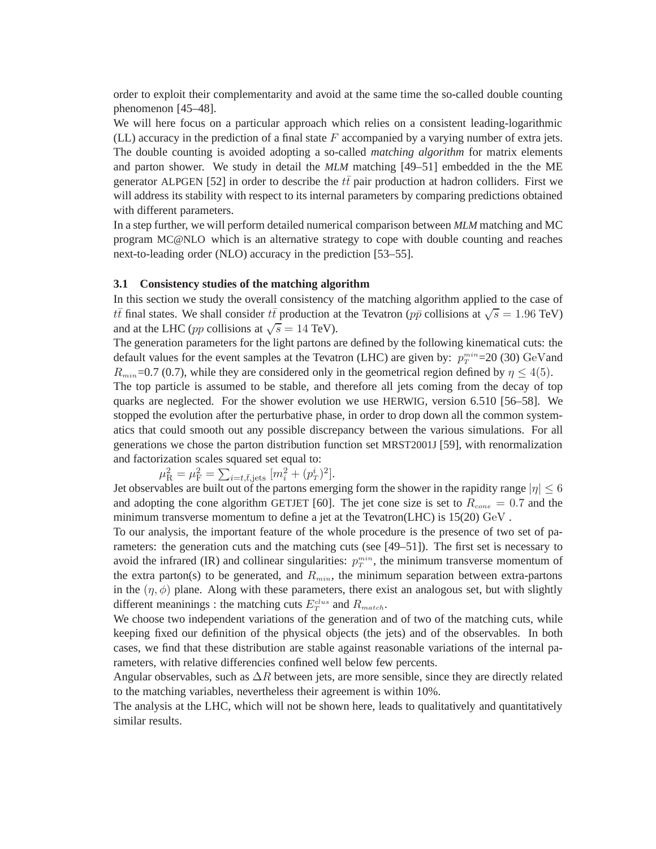order to exploit their complementarity and avoid at the same time the so-called double counting phenomenon [45–48].

We will here focus on a particular approach which relies on a consistent leading-logarithmic (LL) accuracy in the prediction of a final state  $F$  accompanied by a varying number of extra jets. The double counting is avoided adopting a so-called *matching algorithm* for matrix elements and parton shower. We study in detail the *MLM* matching [49–51] embedded in the the ME generator ALPGEN [52] in order to describe the  $t\bar{t}$  pair production at hadron colliders. First we will address its stability with respect to its internal parameters by comparing predictions obtained with different parameters.

In a step further, we will perform detailed numerical comparison between *MLM* matching and MC program MC@NLO which is an alternative strategy to cope with double counting and reaches next-to-leading order (NLO) accuracy in the prediction [53–55].

## **3.1 Consistency studies of the matching algorithm**

In this section we study the overall consistency of the matching algorithm applied to the case of  $t\bar{t}$  final states. We shall consider  $t\bar{t}$  production at the Tevatron ( $p\bar{p}$  collisions at  $\sqrt{s} = 1.96$  TeV) and at the LHC (*pp* collisions at  $\sqrt{s} = 14$  TeV).

The generation parameters for the light partons are defined by the following kinematical cuts: the default values for the event samples at the Tevatron (LHC) are given by:  $p_T^{min}=20$  (30) GeV and  $R_{min}$ =0.7 (0.7), while they are considered only in the geometrical region defined by  $\eta \leq 4(5)$ .

The top particle is assumed to be stable, and therefore all jets coming from the decay of top quarks are neglected. For the shower evolution we use HERWIG, version 6.510 [56–58]. We stopped the evolution after the perturbative phase, in order to drop down all the common systematics that could smooth out any possible discrepancy between the various simulations. For all generations we chose the parton distribution function set MRST2001J [59], with renormalization and factorization scales squared set equal to:

$$
\mu_{\rm R}^2 = \mu_{\rm F}^2 = \sum_{i=t,\bar{t},j\text{ets}} [m_i^2 + (p_T^i)^2].
$$

Jet observables are built out of the partons emerging form the shower in the rapidity range  $|\eta| \leq 6$ and adopting the cone algorithm GETJET [60]. The jet cone size is set to  $R_{cone} = 0.7$  and the minimum transverse momentum to define a jet at the Tevatron(LHC) is  $15(20)$  GeV.

To our analysis, the important feature of the whole procedure is the presence of two set of parameters: the generation cuts and the matching cuts (see [49–51]). The first set is necessary to avoid the infrared (IR) and collinear singularities:  $p_T^{min}$ , the minimum transverse momentum of the extra parton(s) to be generated, and  $R_{min}$ , the minimum separation between extra-partons in the  $(\eta, \phi)$  plane. Along with these parameters, there exist an analogous set, but with slightly different meaninings : the matching cuts  $E_T^{clus}$  and  $R_{match}$ .

We choose two independent variations of the generation and of two of the matching cuts, while keeping fixed our definition of the physical objects (the jets) and of the observables. In both cases, we find that these distribution are stable against reasonable variations of the internal parameters, with relative differencies confined well below few percents.

Angular observables, such as  $\Delta R$  between jets, are more sensible, since they are directly related to the matching variables, nevertheless their agreement is within 10%.

The analysis at the LHC, which will not be shown here, leads to qualitatively and quantitatively similar results.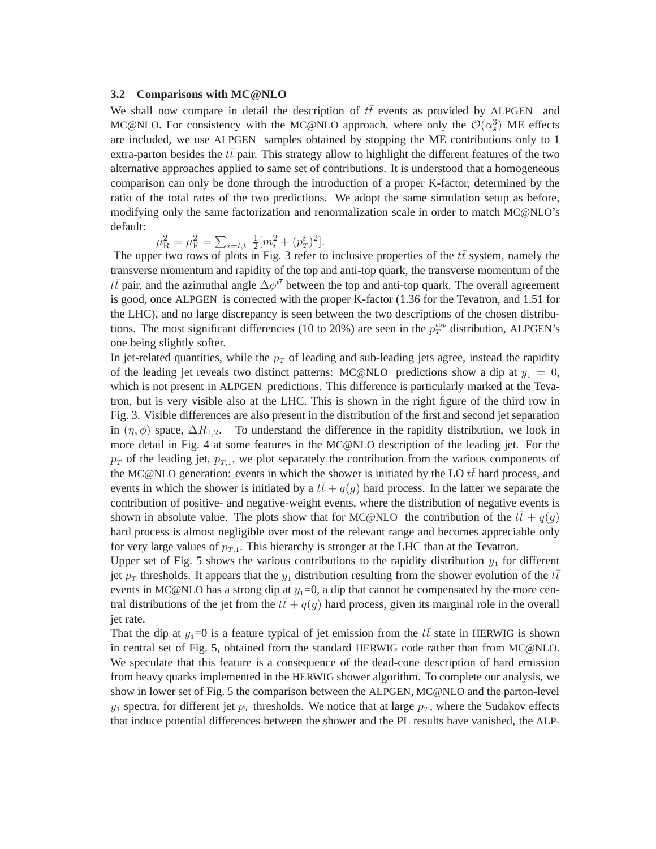## **3.2 Comparisons with MC@NLO**

We shall now compare in detail the description of  $t\bar{t}$  events as provided by ALPGEN and MC@NLO. For consistency with the MC@NLO approach, where only the  $\mathcal{O}(\alpha_s^3)$  ME effects are included, we use ALPGEN samples obtained by stopping the ME contributions only to 1 extra-parton besides the  $t\bar{t}$  pair. This strategy allow to highlight the different features of the two alternative approaches applied to same set of contributions. It is understood that a homogeneous comparison can only be done through the introduction of a proper K-factor, determined by the ratio of the total rates of the two predictions. We adopt the same simulation setup as before, modifying only the same factorization and renormalization scale in order to match MC@NLO's default:

$$
\mu_{\rm R}^2 = \mu_{\rm F}^2 = \sum_{i=t,\bar t} \frac{1}{2} [m_i^2 + (p_T^i)^2].
$$

The upper two rows of plots in Fig. 3 refer to inclusive properties of the  $t\bar{t}$  system, namely the transverse momentum and rapidity of the top and anti-top quark, the transverse momentum of the  $t\bar{t}$  pair, and the azimuthal angle  $\Delta\phi^{t\bar{t}}$  between the top and anti-top quark. The overall agreement is good, once ALPGEN is corrected with the proper K-factor (1.36 for the Tevatron, and 1.51 for the LHC), and no large discrepancy is seen between the two descriptions of the chosen distributions. The most significant differencies (10 to 20%) are seen in the  $p_T^{top}$  distribution, ALPGEN's one being slightly softer.

In jet-related quantities, while the  $p<sub>T</sub>$  of leading and sub-leading jets agree, instead the rapidity of the leading jet reveals two distinct patterns: MC@NLO predictions show a dip at  $y_1 = 0$ , which is not present in ALPGEN predictions. This difference is particularly marked at the Tevatron, but is very visible also at the LHC. This is shown in the right figure of the third row in Fig. 3. Visible differences are also present in the distribution of the first and second jet separation in  $(\eta, \phi)$  space,  $\Delta R_{1,2}$ . To understand the difference in the rapidity distribution, we look in more detail in Fig. 4 at some features in the MC@NLO description of the leading jet. For the  $p_T$  of the leading jet,  $p_{T,1}$ , we plot separately the contribution from the various components of the MC@NLO generation: events in which the shower is initiated by the LO  $t\bar{t}$  hard process, and events in which the shower is initiated by a  $t\bar{t}+q(g)$  hard process. In the latter we separate the contribution of positive- and negative-weight events, where the distribution of negative events is shown in absolute value. The plots show that for MC@NLO the contribution of the  $t\bar{t}+q(q)$ hard process is almost negligible over most of the relevant range and becomes appreciable only for very large values of  $p_{T,1}$ . This hierarchy is stronger at the LHC than at the Tevatron.

Upper set of Fig. 5 shows the various contributions to the rapidity distribution  $y_1$  for different jet  $p_T$  thresholds. It appears that the  $y_1$  distribution resulting from the shower evolution of the  $t\bar{t}$ events in MC@NLO has a strong dip at  $y_1=0$ , a dip that cannot be compensated by the more central distributions of the jet from the  $t\bar{t}+q(q)$  hard process, given its marginal role in the overall jet rate.

That the dip at y<sub>1</sub>=0 is a feature typical of jet emission from the  $t\bar{t}$  state in HERWIG is shown in central set of Fig. 5, obtained from the standard HERWIG code rather than from MC@NLO. We speculate that this feature is a consequence of the dead-cone description of hard emission from heavy quarks implemented in the HERWIG shower algorithm. To complete our analysis, we show in lower set of Fig. 5 the comparison between the ALPGEN, MC@NLO and the parton-level  $y_1$  spectra, for different jet  $p_T$  thresholds. We notice that at large  $p_T$ , where the Sudakov effects that induce potential differences between the shower and the PL results have vanished, the ALP-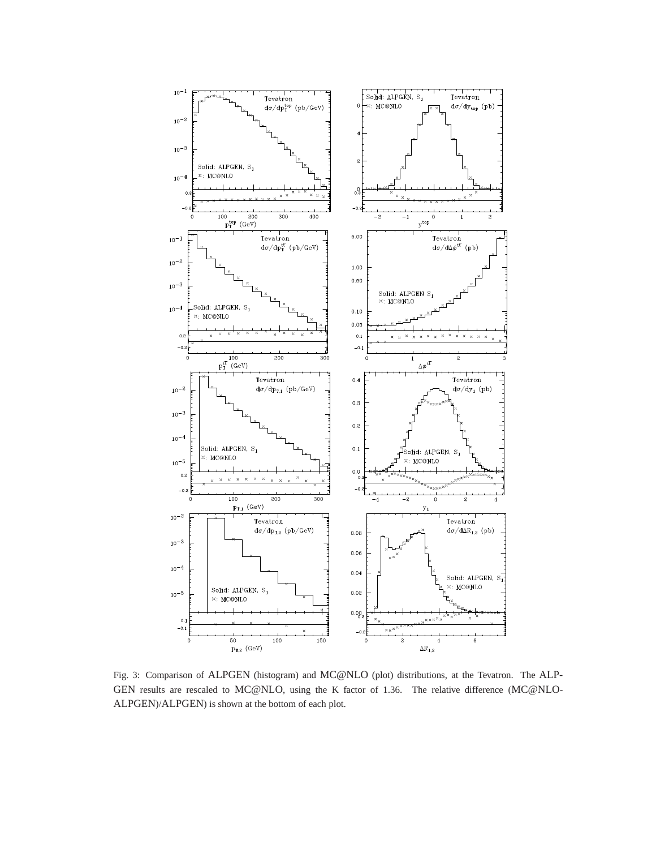

Fig. 3: Comparison of ALPGEN (histogram) and MC@NLO (plot) distributions, at the Tevatron. The ALP-GEN results are rescaled to MC@NLO, using the K factor of 1.36. The relative difference (MC@NLO-ALPGEN)/ALPGEN) is shown at the bottom of each plot.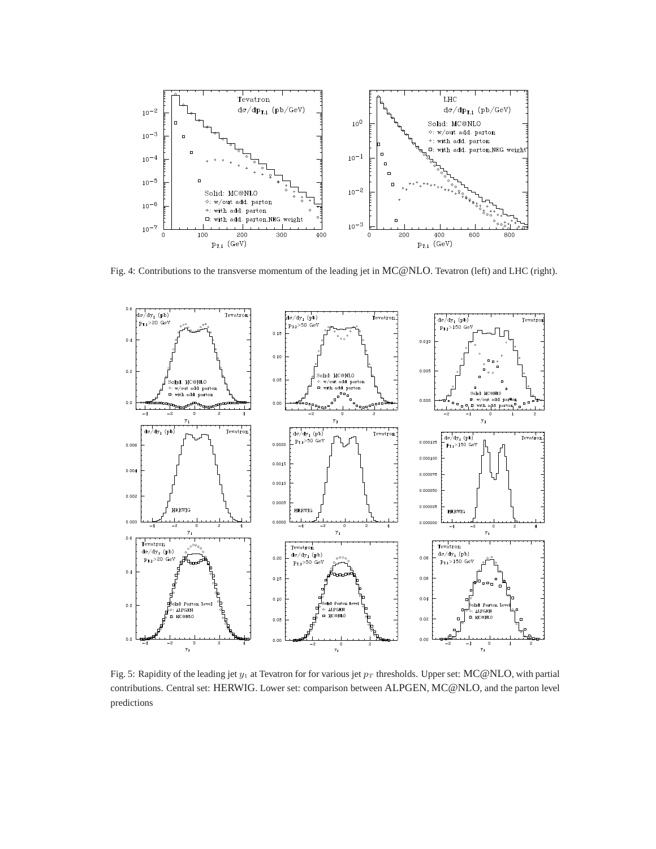

Fig. 4: Contributions to the transverse momentum of the leading jet in MC@NLO. Tevatron (left) and LHC (right).



Fig. 5: Rapidity of the leading jet  $y_1$  at Tevatron for for various jet  $p_T$  thresholds. Upper set: MC@NLO, with partial contributions. Central set: HERWIG. Lower set: comparison between ALPGEN, MC@NLO, and the parton level predictions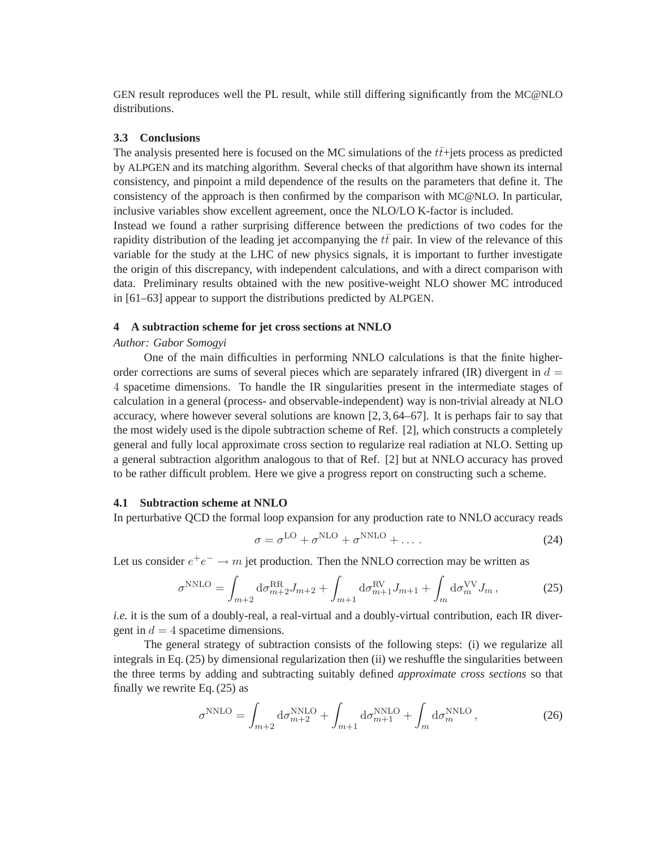GEN result reproduces well the PL result, while still differing significantly from the MC@NLO distributions.

#### **3.3 Conclusions**

The analysis presented here is focused on the MC simulations of the  $t\bar{t}$ +jets process as predicted by ALPGEN and its matching algorithm. Several checks of that algorithm have shown its internal consistency, and pinpoint a mild dependence of the results on the parameters that define it. The consistency of the approach is then confirmed by the comparison with MC@NLO. In particular, inclusive variables show excellent agreement, once the NLO/LO K-factor is included. Instead we found a rather surprising difference between the predictions of two codes for the rapidity distribution of the leading jet accompanying the  $t\bar{t}$  pair. In view of the relevance of this variable for the study at the LHC of new physics signals, it is important to further investigate the origin of this discrepancy, with independent calculations, and with a direct comparison with data. Preliminary results obtained with the new positive-weight NLO shower MC introduced in [61–63] appear to support the distributions predicted by ALPGEN.

### **4 A subtraction scheme for jet cross sections at NNLO**

#### *Author: Gabor Somogyi*

One of the main difficulties in performing NNLO calculations is that the finite higherorder corrections are sums of several pieces which are separately infrared  $(IR)$  divergent in  $d =$ 4 spacetime dimensions. To handle the IR singularities present in the intermediate stages of calculation in a general (process- and observable-independent) way is non-trivial already at NLO accuracy, where however several solutions are known [2, 3, 64–67]. It is perhaps fair to say that the most widely used is the dipole subtraction scheme of Ref. [2], which constructs a completely general and fully local approximate cross section to regularize real radiation at NLO. Setting up a general subtraction algorithm analogous to that of Ref. [2] but at NNLO accuracy has proved to be rather difficult problem. Here we give a progress report on constructing such a scheme.

## **4.1 Subtraction scheme at NNLO**

In perturbative QCD the formal loop expansion for any production rate to NNLO accuracy reads

$$
\sigma = \sigma^{\text{LO}} + \sigma^{\text{NLO}} + \sigma^{\text{NNLO}} + \dots \tag{24}
$$

Let us consider  $e^+e^- \to m$  jet production. Then the NNLO correction may be written as

$$
\sigma^{\rm NNLO} = \int_{m+2} d\sigma_{m+2}^{\rm RR} J_{m+2} + \int_{m+1} d\sigma_{m+1}^{\rm RV} J_{m+1} + \int_m d\sigma_m^{\rm VV} J_m, \qquad (25)
$$

*i.e.* it is the sum of a doubly-real, a real-virtual and a doubly-virtual contribution, each IR divergent in  $d = 4$  spacetime dimensions.

The general strategy of subtraction consists of the following steps: (i) we regularize all integrals in Eq. (25) by dimensional regularization then (ii) we reshuffle the singularities between the three terms by adding and subtracting suitably defined *approximate cross sections* so that finally we rewrite Eq. (25) as

$$
\sigma^{\text{NNLO}} = \int_{m+2} \mathrm{d}\sigma_{m+2}^{\text{NNLO}} + \int_{m+1} \mathrm{d}\sigma_{m+1}^{\text{NNLO}} + \int_m \mathrm{d}\sigma_m^{\text{NNLO}}, \tag{26}
$$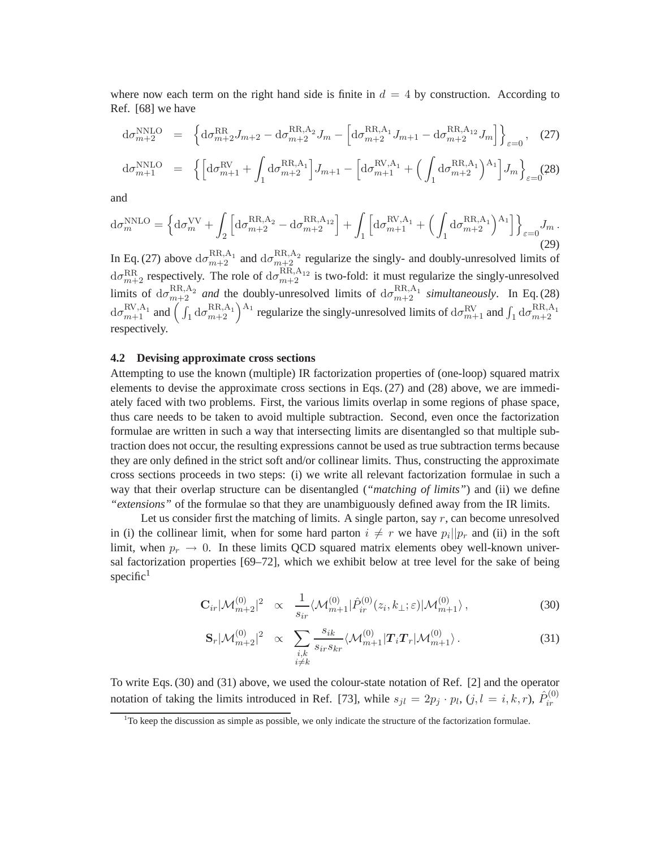where now each term on the right hand side is finite in  $d = 4$  by construction. According to Ref. [68] we have

$$
d\sigma_{m+2}^{\text{NNLO}} = \left\{ d\sigma_{m+2}^{\text{RR}} J_{m+2} - d\sigma_{m+2}^{\text{RR},A_2} J_m - \left[ d\sigma_{m+2}^{\text{RR},A_1} J_{m+1} - d\sigma_{m+2}^{\text{RR},A_{12}} J_m \right] \right\}_{\varepsilon=0}, \quad (27)
$$

$$
d\sigma_{m+1}^{\text{NNLO}} = \left\{ \left[ d\sigma_{m+1}^{\text{RV}} + \int_1 d\sigma_{m+2}^{\text{RR},A_1} \right] J_{m+1} - \left[ d\sigma_{m+1}^{\text{RV},A_1} + \left( \int_1 d\sigma_{m+2}^{\text{RR},A_1} \right) A_1 \right] J_m \right\}_{\varepsilon=0} (28)
$$

and

$$
d\sigma_m^{\rm NNLO} = \left\{ d\sigma_m^{\rm NV} + \int_2 \left[ d\sigma_{m+2}^{\rm RR,A_2} - d\sigma_{m+2}^{\rm RR,A_{12}} \right] + \int_1 \left[ d\sigma_{m+1}^{\rm RV,A_1} + \left( \int_1 d\sigma_{m+2}^{\rm RR,A_1} \right)^{\rm A_1} \right] \right\}_{\varepsilon=0} J_m.
$$
\n(29)

In Eq. (27) above  $d\sigma_{m+2}^{RR,A_1}$  and  $d\sigma_{m+2}^{RR,A_2}$  regularize the singly- and doubly-unresolved limits of  $d\sigma_{m+2}^{RR}$  respectively. The role of  $d\sigma_{m+2}^{RR,A_{12}}$  is two-fold: it must regularize the singly-unresolved limits of  $d\sigma_{m+2}^{RR,A_2}$  *and* the doubly-unresolved limits of  $d\sigma_{m+2}^{RR,A_1}$  *simultaneously*. In Eq. (28)  $d\sigma_{m+1}^{RV,A_1}$  and  $\left(\int_1 d\sigma_{m+2}^{RR,A_1}\right)^{A_1}$  regularize the singly-unresolved limits of  $d\sigma_{m+1}^{RV}$  and  $\int_1 d\sigma_{m+2}^{RR,A_1}$ respectively.

#### **4.2 Devising approximate cross sections**

Attempting to use the known (multiple) IR factorization properties of (one-loop) squared matrix elements to devise the approximate cross sections in Eqs. (27) and (28) above, we are immediately faced with two problems. First, the various limits overlap in some regions of phase space, thus care needs to be taken to avoid multiple subtraction. Second, even once the factorization formulae are written in such a way that intersecting limits are disentangled so that multiple subtraction does not occur, the resulting expressions cannot be used as true subtraction terms because they are only defined in the strict soft and/or collinear limits. Thus, constructing the approximate cross sections proceeds in two steps: (i) we write all relevant factorization formulae in such a way that their overlap structure can be disentangled (*"matching of limits"*) and (ii) we define *"extensions"* of the formulae so that they are unambiguously defined away from the IR limits.

Let us consider first the matching of limits. A single parton, say  $r$ , can become unresolved in (i) the collinear limit, when for some hard parton  $i \neq r$  we have  $p_i||p_r$  and (ii) in the soft limit, when  $p_r \to 0$ . In these limits QCD squared matrix elements obey well-known universal factorization properties [69–72], which we exhibit below at tree level for the sake of being specific $1$ 

$$
\mathbf{C}_{ir}|\mathcal{M}_{m+2}^{(0)}|^2 \propto \frac{1}{s_{ir}}\langle \mathcal{M}_{m+1}^{(0)}|\hat{P}_{ir}^{(0)}(z_i,k_{\perp};\varepsilon)|\mathcal{M}_{m+1}^{(0)}\rangle, \tag{30}
$$

$$
\mathbf{S}_r|\mathcal{M}_{m+2}^{(0)}|^2 \propto \sum_{\substack{i,k \\ i \neq k}} \frac{s_{ik}}{s_{ir} s_{kr}} \langle \mathcal{M}_{m+1}^{(0)} | \mathbf{T}_i \mathbf{T}_r | \mathcal{M}_{m+1}^{(0)} \rangle. \tag{31}
$$

To write Eqs. (30) and (31) above, we used the colour-state notation of Ref. [2] and the operator notation of taking the limits introduced in Ref. [73], while  $s_{jl} = 2p_j \cdot p_l$ ,  $(j, l = i, k, r)$ ,  $\hat{P}_{ir}^{(0)}$ ir

 $1^1$ To keep the discussion as simple as possible, we only indicate the structure of the factorization formulae.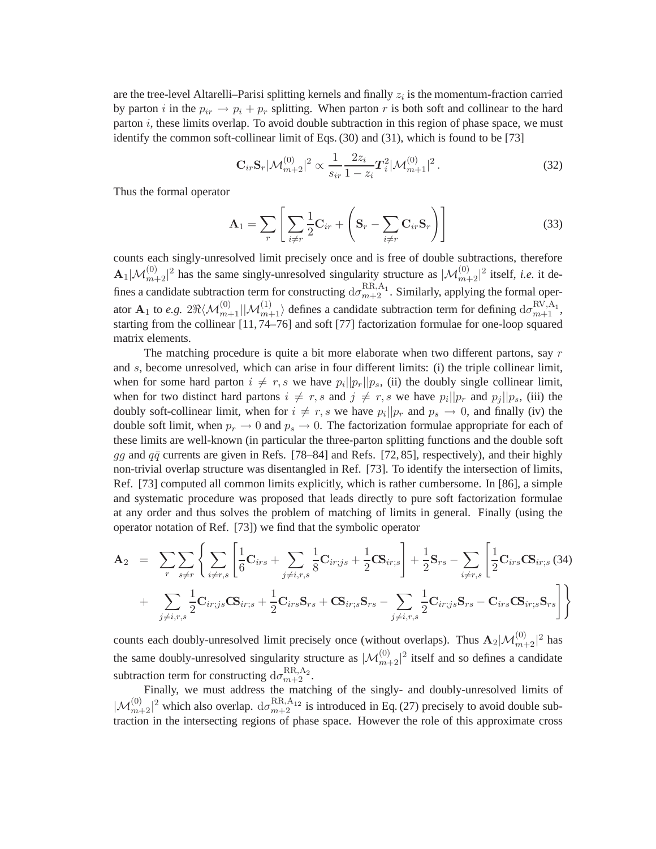are the tree-level Altarelli–Parisi splitting kernels and finally  $z_i$  is the momentum-fraction carried by parton i in the  $p_{ir} \rightarrow p_i + p_r$  splitting. When parton r is both soft and collinear to the hard parton  $i$ , these limits overlap. To avoid double subtraction in this region of phase space, we must identify the common soft-collinear limit of Eqs. (30) and (31), which is found to be [73]

$$
\mathbf{C}_{ir}\mathbf{S}_r|\mathcal{M}_{m+2}^{(0)}|^2 \propto \frac{1}{s_{ir}}\frac{2z_i}{1-z_i}T_i^2|\mathcal{M}_{m+1}^{(0)}|^2.
$$
 (32)

Thus the formal operator

$$
\mathbf{A}_1 = \sum_r \left[ \sum_{i \neq r} \frac{1}{2} \mathbf{C}_{ir} + \left( \mathbf{S}_r - \sum_{i \neq r} \mathbf{C}_{ir} \mathbf{S}_r \right) \right]
$$
(33)

counts each singly-unresolved limit precisely once and is free of double subtractions, therefore  $\mathbf{A}_1|\mathcal{M}_{m+2}^{(0)}|^2$  has the same singly-unresolved singularity structure as  $|\mathcal{M}_{m+2}^{(0)}|^2$  itself, *i.e.* it defines a candidate subtraction term for constructing  $d\sigma_{m+2}^{RR,A_1}$ . Similarly, applying the formal operator  $\mathbf{A}_1$  to *e.g.*  $2\Re\langle\mathcal{M}_{m+1}^{(0)}|\mathcal{M}_{m+1}^{(1)}\rangle$  defines a candidate subtraction term for defining  $d\sigma_{m+1}^{\text{RV},\text{A}_1}$ , starting from the collinear [11, 74–76] and soft [77] factorization formulae for one-loop squared matrix elements.

The matching procedure is quite a bit more elaborate when two different partons, say  $r$ and s, become unresolved, which can arise in four different limits: (i) the triple collinear limit, when for some hard parton  $i \neq r$ , s we have  $p_i||p_r||p_s$ , (ii) the doubly single collinear limit, when for two distinct hard partons  $i \neq r, s$  and  $j \neq r, s$  we have  $p_i||p_r$  and  $p_j||p_s$ , (iii) the doubly soft-collinear limit, when for  $i \neq r, s$  we have  $p_i||p_r$  and  $p_s \to 0$ , and finally (iv) the double soft limit, when  $p_r \to 0$  and  $p_s \to 0$ . The factorization formulae appropriate for each of these limits are well-known (in particular the three-parton splitting functions and the double soft gg and  $q\bar{q}$  currents are given in Refs. [78–84] and Refs. [72, 85], respectively), and their highly non-trivial overlap structure was disentangled in Ref. [73]. To identify the intersection of limits, Ref. [73] computed all common limits explicitly, which is rather cumbersome. In [86], a simple and systematic procedure was proposed that leads directly to pure soft factorization formulae at any order and thus solves the problem of matching of limits in general. Finally (using the operator notation of Ref. [73]) we find that the symbolic operator

$$
A_2 = \sum_{r} \sum_{s \neq r} \left\{ \sum_{i \neq r,s} \left[ \frac{1}{6} \mathbf{C}_{irs} + \sum_{j \neq i,r,s} \frac{1}{8} \mathbf{C}_{ir;js} + \frac{1}{2} \mathbf{CS}_{ir;s} \right] + \frac{1}{2} \mathbf{S}_{rs} - \sum_{i \neq r,s} \left[ \frac{1}{2} \mathbf{C}_{irs} \mathbf{CS}_{ir;s} (34) + \sum_{j \neq i,r,s} \frac{1}{2} \mathbf{C}_{ir;js} \mathbf{CS}_{ir;s} + \frac{1}{2} \mathbf{C}_{irs} \mathbf{S}_{rs} + \mathbf{CS}_{ir;s} \mathbf{S}_{rs} - \sum_{j \neq i,r,s} \frac{1}{2} \mathbf{C}_{ir;js} \mathbf{S}_{rs} - \mathbf{C}_{irs} \mathbf{CS}_{ir;s} \mathbf{S}_{rs} \right] \right\}
$$

counts each doubly-unresolved limit precisely once (without overlaps). Thus  $\mathbf{A}_2|\mathcal{M}_{m+2}^{(0)}|^2$  has the same doubly-unresolved singularity structure as  $|\mathcal{M}_{m+2}^{(0)}|^2$  itself and so defines a candidate subtraction term for constructing  $d\sigma_{m+2}^{\text{RR},\text{A}_2}$ .

Finally, we must address the matching of the singly- and doubly-unresolved limits of  $|\mathcal{M}_{m+2}^{(0)}|^2$  which also overlap.  $d\sigma_{m+2}^{RR,A_{12}}$  is introduced in Eq. (27) precisely to avoid double subtraction in the intersecting regions of phase space. However the role of this approximate cross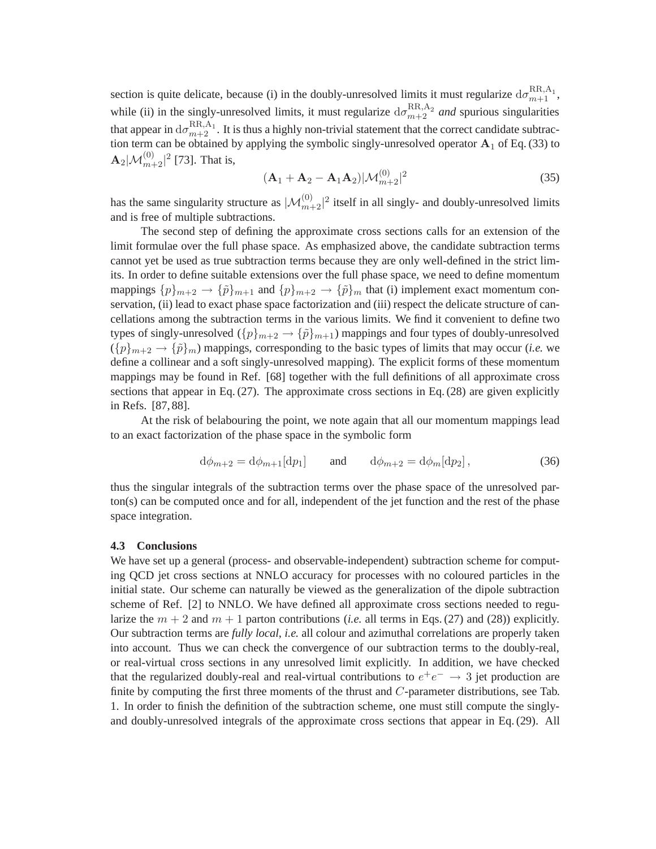section is quite delicate, because (i) in the doubly-unresolved limits it must regularize  $d\sigma_{m+1}^{RR,A_1}$ , while (ii) in the singly-unresolved limits, it must regularize  $d\sigma_{m+2}^{RR,A_2}$  and spurious singularities that appear in  $d\sigma_{m+2}^{RR,A_1}$ . It is thus a highly non-trivial statement that the correct candidate subtraction term can be obtained by applying the symbolic singly-unresolved operator  $A_1$  of Eq. (33) to  $\mathbf{A}_{2}|\mathcal{M}_{m+2}^{(0)}|^{2}$  [73]. That is,

$$
(\mathbf{A}_1 + \mathbf{A}_2 - \mathbf{A}_1 \mathbf{A}_2) | \mathcal{M}_{m+2}^{(0)}|^2
$$
 (35)

has the same singularity structure as  $|\mathcal{M}_{m+2}^{(0)}|^2$  itself in all singly- and doubly-unresolved limits and is free of multiple subtractions.

The second step of defining the approximate cross sections calls for an extension of the limit formulae over the full phase space. As emphasized above, the candidate subtraction terms cannot yet be used as true subtraction terms because they are only well-defined in the strict limits. In order to define suitable extensions over the full phase space, we need to define momentum mappings  $\{p\}_{m+2} \to \{\tilde{p}\}_{m+1}$  and  $\{p\}_{m+2} \to \{\tilde{p}\}_m$  that (i) implement exact momentum conservation, (ii) lead to exact phase space factorization and (iii) respect the delicate structure of cancellations among the subtraction terms in the various limits. We find it convenient to define two types of singly-unresolved  $({p}_{m+2} \rightarrow {\tilde{p}}_{m+1})$  mappings and four types of doubly-unresolved  $({p}_{m+2} \rightarrow {\tilde{p}}_m)$  mappings, corresponding to the basic types of limits that may occur *(i.e.* we define a collinear and a soft singly-unresolved mapping). The explicit forms of these momentum mappings may be found in Ref. [68] together with the full definitions of all approximate cross sections that appear in Eq. (27). The approximate cross sections in Eq. (28) are given explicitly in Refs. [87, 88].

At the risk of belabouring the point, we note again that all our momentum mappings lead to an exact factorization of the phase space in the symbolic form

$$
d\phi_{m+2} = d\phi_{m+1}[dp_1] \quad \text{and} \quad d\phi_{m+2} = d\phi_m[dp_2], \tag{36}
$$

thus the singular integrals of the subtraction terms over the phase space of the unresolved parton(s) can be computed once and for all, independent of the jet function and the rest of the phase space integration.

#### **4.3 Conclusions**

We have set up a general (process- and observable-independent) subtraction scheme for computing QCD jet cross sections at NNLO accuracy for processes with no coloured particles in the initial state. Our scheme can naturally be viewed as the generalization of the dipole subtraction scheme of Ref. [2] to NNLO. We have defined all approximate cross sections needed to regularize the  $m + 2$  and  $m + 1$  parton contributions (*i.e.* all terms in Eqs. (27) and (28)) explicitly. Our subtraction terms are *fully local*, *i.e.* all colour and azimuthal correlations are properly taken into account. Thus we can check the convergence of our subtraction terms to the doubly-real, or real-virtual cross sections in any unresolved limit explicitly. In addition, we have checked that the regularized doubly-real and real-virtual contributions to  $e^+e^- \rightarrow 3$  jet production are finite by computing the first three moments of the thrust and  $C$ -parameter distributions, see Tab. 1. In order to finish the definition of the subtraction scheme, one must still compute the singlyand doubly-unresolved integrals of the approximate cross sections that appear in Eq. (29). All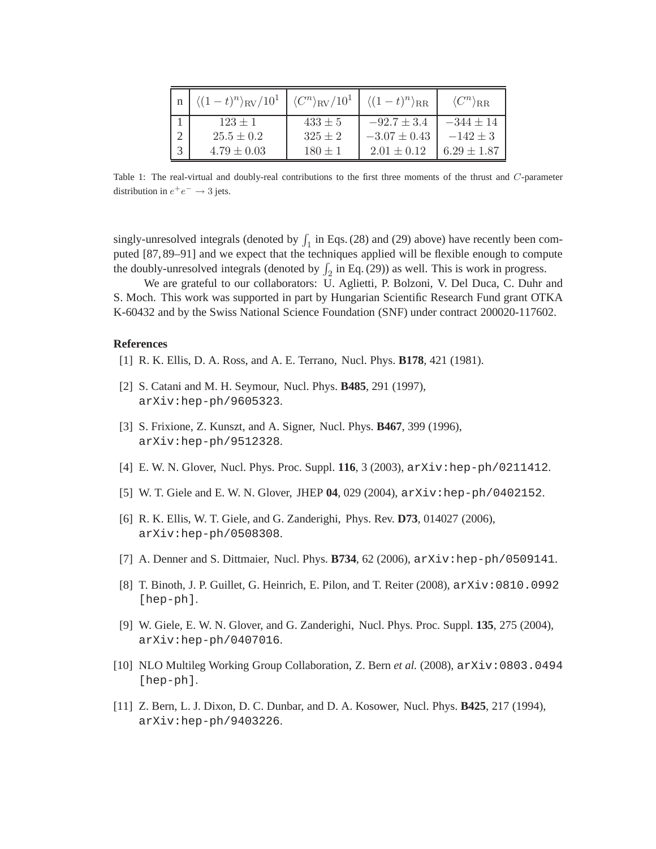| $\langle (1-t)^n \rangle_{\rm RV}/10^1$ | $\langle C^n \rangle_{\rm RV}/10^1$ | $\langle (1-t)^n \rangle_{\rm RR}$ | $\langle C^n \rangle_{\rm RR}$ |
|-----------------------------------------|-------------------------------------|------------------------------------|--------------------------------|
| $123 \pm 1$                             | $433 \pm 5$                         | $-92.7 \pm 3.4$                    | $-344 + 14$                    |
| $25.5 + 0.2$                            | $325 \pm 2$                         | $-3.07 \pm 0.43$                   | $-142 + 3$                     |
| $4.79 \pm 0.03$                         | $180 \pm 1$                         | $2.01 \pm 0.12$                    | $6.29 \pm 1.87$                |

Table 1: The real-virtual and doubly-real contributions to the first three moments of the thrust and C-parameter distribution in  $e^+e^- \rightarrow 3$  jets.

singly-unresolved integrals (denoted by  $\int_1$  in Eqs. (28) and (29) above) have recently been computed [87, 89–91] and we expect that the techniques applied will be flexible enough to compute the doubly-unresolved integrals (denoted by  $\int_2$  in Eq. (29)) as well. This is work in progress.

We are grateful to our collaborators: U. Aglietti, P. Bolzoni, V. Del Duca, C. Duhr and S. Moch. This work was supported in part by Hungarian Scientific Research Fund grant OTKA K-60432 and by the Swiss National Science Foundation (SNF) under contract 200020-117602.

#### **References**

- [1] R. K. Ellis, D. A. Ross, and A. E. Terrano, Nucl. Phys. **B178**, 421 (1981).
- [2] S. Catani and M. H. Seymour, Nucl. Phys. **B485**, 291 (1997), arXiv:hep-ph/9605323.
- [3] S. Frixione, Z. Kunszt, and A. Signer, Nucl. Phys. **B467**, 399 (1996), arXiv:hep-ph/9512328.
- [4] E. W. N. Glover, Nucl. Phys. Proc. Suppl. **116**, 3 (2003), arXiv:hep-ph/0211412.
- [5] W. T. Giele and E. W. N. Glover, JHEP **04**, 029 (2004), arXiv:hep-ph/0402152.
- [6] R. K. Ellis, W. T. Giele, and G. Zanderighi, Phys. Rev. **D73**, 014027 (2006), arXiv:hep-ph/0508308.
- [7] A. Denner and S. Dittmaier, Nucl. Phys. **B734**, 62 (2006),  $arXiv:hep-ph/0509141$ .
- [8] T. Binoth, J. P. Guillet, G. Heinrich, E. Pilon, and T. Reiter (2008), arXiv:0810.0992 [hep-ph].
- [9] W. Giele, E. W. N. Glover, and G. Zanderighi, Nucl. Phys. Proc. Suppl. **135**, 275 (2004), arXiv:hep-ph/0407016.
- [10] NLO Multileg Working Group Collaboration, Z. Bern *et al.* (2008), arXiv:0803.0494 [hep-ph].
- [11] Z. Bern, L. J. Dixon, D. C. Dunbar, and D. A. Kosower, Nucl. Phys. **B425**, 217 (1994), arXiv:hep-ph/9403226.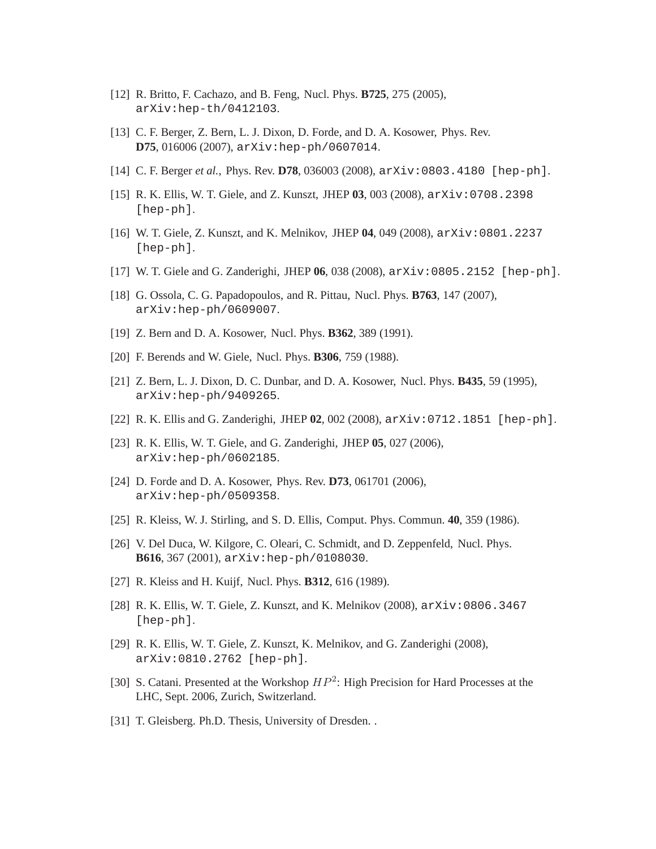- [12] R. Britto, F. Cachazo, and B. Feng, Nucl. Phys. **B725**, 275 (2005), arXiv:hep-th/0412103.
- [13] C. F. Berger, Z. Bern, L. J. Dixon, D. Forde, and D. A. Kosower, Phys. Rev. **D75**, 016006 (2007), arXiv:hep-ph/0607014.
- [14] C. F. Berger *et al.*, Phys. Rev. **D78**, 036003 (2008), arXiv:0803.4180 [hep-ph].
- [15] R. K. Ellis, W. T. Giele, and Z. Kunszt, JHEP **03**, 003 (2008), arXiv:0708.2398 [hep-ph].
- [16] W. T. Giele, Z. Kunszt, and K. Melnikov, JHEP **04**, 049 (2008), arXiv:0801.2237 [hep-ph].
- [17] W. T. Giele and G. Zanderighi, JHEP **06**, 038 (2008), arXiv:0805.2152 [hep-ph].
- [18] G. Ossola, C. G. Papadopoulos, and R. Pittau, Nucl. Phys. **B763**, 147 (2007), arXiv:hep-ph/0609007.
- [19] Z. Bern and D. A. Kosower, Nucl. Phys. **B362**, 389 (1991).
- [20] F. Berends and W. Giele, Nucl. Phys. **B306**, 759 (1988).
- [21] Z. Bern, L. J. Dixon, D. C. Dunbar, and D. A. Kosower, Nucl. Phys. **B435**, 59 (1995), arXiv:hep-ph/9409265.
- [22] R. K. Ellis and G. Zanderighi, JHEP **02**, 002 (2008), arXiv:0712.1851 [hep-ph].
- [23] R. K. Ellis, W. T. Giele, and G. Zanderighi, JHEP **05**, 027 (2006), arXiv:hep-ph/0602185.
- [24] D. Forde and D. A. Kosower, Phys. Rev. **D73**, 061701 (2006), arXiv:hep-ph/0509358.
- [25] R. Kleiss, W. J. Stirling, and S. D. Ellis, Comput. Phys. Commun. **40**, 359 (1986).
- [26] V. Del Duca, W. Kilgore, C. Oleari, C. Schmidt, and D. Zeppenfeld, Nucl. Phys. **B616**, 367 (2001), arXiv:hep-ph/0108030.
- [27] R. Kleiss and H. Kuijf, Nucl. Phys. **B312**, 616 (1989).
- [28] R. K. Ellis, W. T. Giele, Z. Kunszt, and K. Melnikov (2008), arXiv:0806.3467 [hep-ph].
- [29] R. K. Ellis, W. T. Giele, Z. Kunszt, K. Melnikov, and G. Zanderighi (2008), arXiv:0810.2762 [hep-ph].
- [30] S. Catani. Presented at the Workshop  $HP^2$ : High Precision for Hard Processes at the LHC, Sept. 2006, Zurich, Switzerland.
- [31] T. Gleisberg. Ph.D. Thesis, University of Dresden. .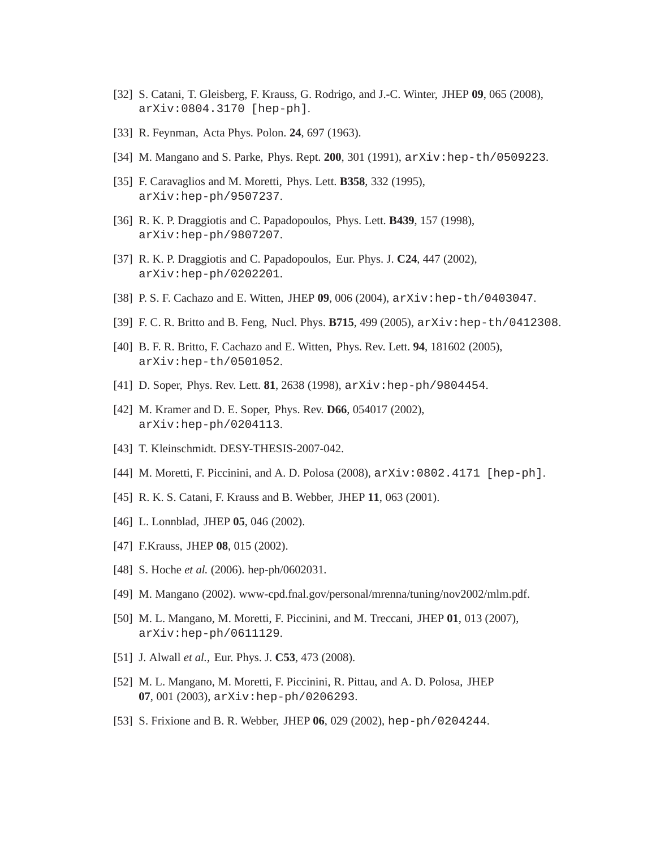- [32] S. Catani, T. Gleisberg, F. Krauss, G. Rodrigo, and J.-C. Winter, JHEP **09**, 065 (2008), arXiv:0804.3170 [hep-ph].
- [33] R. Feynman, Acta Phys. Polon. **24**, 697 (1963).
- [34] M. Mangano and S. Parke, Phys. Rept. **200**, 301 (1991), arXiv:hep-th/0509223.
- [35] F. Caravaglios and M. Moretti, Phys. Lett. **B358**, 332 (1995), arXiv:hep-ph/9507237.
- [36] R. K. P. Draggiotis and C. Papadopoulos, Phys. Lett. **B439**, 157 (1998), arXiv:hep-ph/9807207.
- [37] R. K. P. Draggiotis and C. Papadopoulos, Eur. Phys. J. **C24**, 447 (2002), arXiv:hep-ph/0202201.
- [38] P. S. F. Cachazo and E. Witten, JHEP **09**, 006 (2004), arXiv:hep-th/0403047.
- [39] F. C. R. Britto and B. Feng, Nucl. Phys. **B715**, 499 (2005), arXiv:hep-th/0412308.
- [40] B. F. R. Britto, F. Cachazo and E. Witten, Phys. Rev. Lett. **94**, 181602 (2005), arXiv:hep-th/0501052.
- [41] D. Soper, Phys. Rev. Lett. **81**, 2638 (1998),  $arXiv:hep-ph/9804454$ .
- [42] M. Kramer and D. E. Soper, Phys. Rev. **D66**, 054017 (2002), arXiv:hep-ph/0204113.
- [43] T. Kleinschmidt. DESY-THESIS-2007-042.
- [44] M. Moretti, F. Piccinini, and A. D. Polosa (2008), arXiv:0802.4171 [hep-ph].
- [45] R. K. S. Catani, F. Krauss and B. Webber, JHEP **11**, 063 (2001).
- [46] L. Lonnblad, JHEP **05**, 046 (2002).
- [47] F.Krauss, JHEP **08**, 015 (2002).
- [48] S. Hoche *et al.* (2006). hep-ph/0602031.
- [49] M. Mangano (2002). www-cpd.fnal.gov/personal/mrenna/tuning/nov2002/mlm.pdf.
- [50] M. L. Mangano, M. Moretti, F. Piccinini, and M. Treccani, JHEP **01**, 013 (2007), arXiv:hep-ph/0611129.
- [51] J. Alwall *et al.*, Eur. Phys. J. **C53**, 473 (2008).
- [52] M. L. Mangano, M. Moretti, F. Piccinini, R. Pittau, and A. D. Polosa, JHEP **07**, 001 (2003), arXiv:hep-ph/0206293.
- [53] S. Frixione and B. R. Webber, JHEP **06**, 029 (2002), hep-ph/0204244.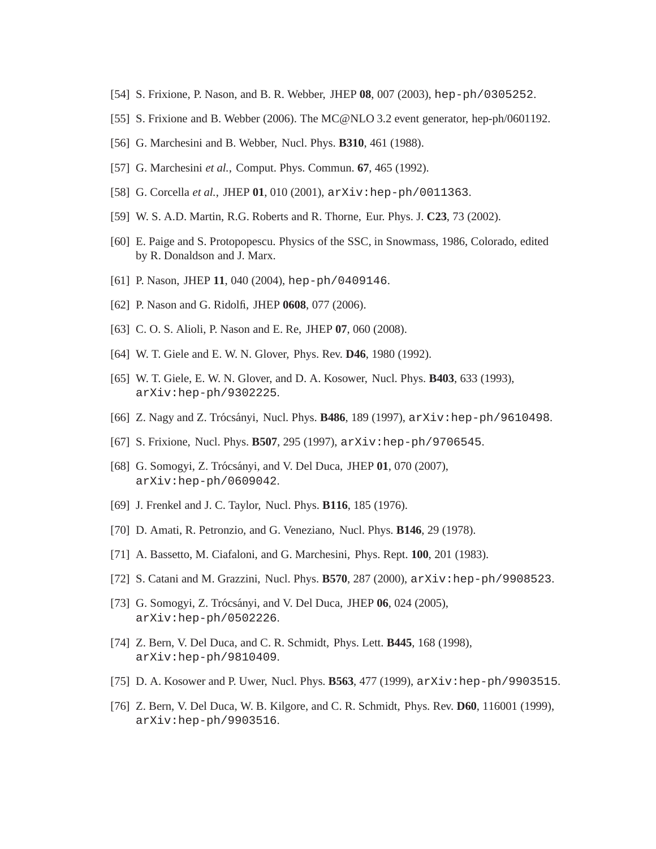- [54] S. Frixione, P. Nason, and B. R. Webber, JHEP **08**, 007 (2003), hep-ph/0305252.
- [55] S. Frixione and B. Webber (2006). The MC@NLO 3.2 event generator, hep-ph/0601192.
- [56] G. Marchesini and B. Webber, Nucl. Phys. **B310**, 461 (1988).
- [57] G. Marchesini *et al.*, Comput. Phys. Commun. **67**, 465 (1992).
- [58] G. Corcella *et al.*, JHEP **01**, 010 (2001), arXiv:hep-ph/0011363.
- [59] W. S. A.D. Martin, R.G. Roberts and R. Thorne, Eur. Phys. J. **C23**, 73 (2002).
- [60] E. Paige and S. Protopopescu. Physics of the SSC, in Snowmass, 1986, Colorado, edited by R. Donaldson and J. Marx.
- [61] P. Nason, JHEP **11**, 040 (2004), hep-ph/0409146.
- [62] P. Nason and G. Ridolfi, JHEP **0608**, 077 (2006).
- [63] C. O. S. Alioli, P. Nason and E. Re, JHEP **07**, 060 (2008).
- [64] W. T. Giele and E. W. N. Glover, Phys. Rev. **D46**, 1980 (1992).
- [65] W. T. Giele, E. W. N. Glover, and D. A. Kosower, Nucl. Phys. **B403**, 633 (1993), arXiv:hep-ph/9302225.
- [66] Z. Nagy and Z. Trócsányi, Nucl. Phys. **B486**, 189 (1997), arXiv:hep-ph/9610498.
- [67] S. Frixione, Nucl. Phys. **B507**, 295 (1997), arXiv:hep-ph/9706545.
- [68] G. Somogyi, Z. Trócsányi, and V. Del Duca, JHEP 01, 070 (2007), arXiv:hep-ph/0609042.
- [69] J. Frenkel and J. C. Taylor, Nucl. Phys. **B116**, 185 (1976).
- [70] D. Amati, R. Petronzio, and G. Veneziano, Nucl. Phys. **B146**, 29 (1978).
- [71] A. Bassetto, M. Ciafaloni, and G. Marchesini, Phys. Rept. **100**, 201 (1983).
- [72] S. Catani and M. Grazzini, Nucl. Phys. **B570**, 287 (2000), arXiv:hep-ph/9908523.
- [73] G. Somogyi, Z. Trócsányi, and V. Del Duca, JHEP 06, 024 (2005), arXiv:hep-ph/0502226.
- [74] Z. Bern, V. Del Duca, and C. R. Schmidt, Phys. Lett. **B445**, 168 (1998), arXiv:hep-ph/9810409.
- [75] D. A. Kosower and P. Uwer, Nucl. Phys. **B563**, 477 (1999), arXiv:hep-ph/9903515.
- [76] Z. Bern, V. Del Duca, W. B. Kilgore, and C. R. Schmidt, Phys. Rev. **D60**, 116001 (1999), arXiv:hep-ph/9903516.